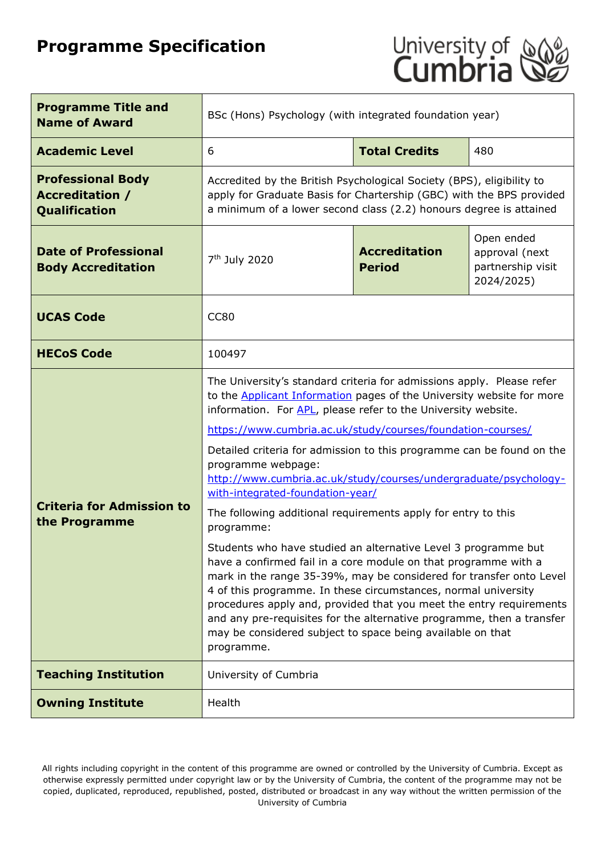# **Programme Specification**



| <b>Programme Title and</b><br><b>Name of Award</b>                  | BSc (Hons) Psychology (with integrated foundation year)                                                                                                                                                                                                                                                                                                                                                                                                                                                                                                                                                                                                                                                                                                                                                                                                                                                                                                                                                                                                                               |                                       |                                                                 |  |  |
|---------------------------------------------------------------------|---------------------------------------------------------------------------------------------------------------------------------------------------------------------------------------------------------------------------------------------------------------------------------------------------------------------------------------------------------------------------------------------------------------------------------------------------------------------------------------------------------------------------------------------------------------------------------------------------------------------------------------------------------------------------------------------------------------------------------------------------------------------------------------------------------------------------------------------------------------------------------------------------------------------------------------------------------------------------------------------------------------------------------------------------------------------------------------|---------------------------------------|-----------------------------------------------------------------|--|--|
| <b>Academic Level</b>                                               | 6                                                                                                                                                                                                                                                                                                                                                                                                                                                                                                                                                                                                                                                                                                                                                                                                                                                                                                                                                                                                                                                                                     | <b>Total Credits</b>                  | 480                                                             |  |  |
| <b>Professional Body</b><br><b>Accreditation /</b><br>Qualification | Accredited by the British Psychological Society (BPS), eligibility to<br>apply for Graduate Basis for Chartership (GBC) with the BPS provided<br>a minimum of a lower second class (2.2) honours degree is attained                                                                                                                                                                                                                                                                                                                                                                                                                                                                                                                                                                                                                                                                                                                                                                                                                                                                   |                                       |                                                                 |  |  |
| <b>Date of Professional</b><br><b>Body Accreditation</b>            | 7 <sup>th</sup> July 2020                                                                                                                                                                                                                                                                                                                                                                                                                                                                                                                                                                                                                                                                                                                                                                                                                                                                                                                                                                                                                                                             | <b>Accreditation</b><br><b>Period</b> | Open ended<br>approval (next<br>partnership visit<br>2024/2025) |  |  |
| <b>UCAS Code</b>                                                    | <b>CC80</b>                                                                                                                                                                                                                                                                                                                                                                                                                                                                                                                                                                                                                                                                                                                                                                                                                                                                                                                                                                                                                                                                           |                                       |                                                                 |  |  |
| <b>HECoS Code</b>                                                   | 100497                                                                                                                                                                                                                                                                                                                                                                                                                                                                                                                                                                                                                                                                                                                                                                                                                                                                                                                                                                                                                                                                                |                                       |                                                                 |  |  |
| <b>Criteria for Admission to</b><br>the Programme                   | The University's standard criteria for admissions apply. Please refer<br>to the <b>Applicant Information</b> pages of the University website for more<br>information. For APL, please refer to the University website.<br>https://www.cumbria.ac.uk/study/courses/foundation-courses/<br>Detailed criteria for admission to this programme can be found on the<br>programme webpage:<br>http://www.cumbria.ac.uk/study/courses/undergraduate/psychology-<br>with-integrated-foundation-year/<br>The following additional requirements apply for entry to this<br>programme:<br>Students who have studied an alternative Level 3 programme but<br>have a confirmed fail in a core module on that programme with a<br>mark in the range 35-39%, may be considered for transfer onto Level<br>4 of this programme. In these circumstances, normal university<br>procedures apply and, provided that you meet the entry requirements<br>and any pre-requisites for the alternative programme, then a transfer<br>may be considered subject to space being available on that<br>programme. |                                       |                                                                 |  |  |
| <b>Teaching Institution</b>                                         | University of Cumbria                                                                                                                                                                                                                                                                                                                                                                                                                                                                                                                                                                                                                                                                                                                                                                                                                                                                                                                                                                                                                                                                 |                                       |                                                                 |  |  |
| <b>Owning Institute</b>                                             | Health                                                                                                                                                                                                                                                                                                                                                                                                                                                                                                                                                                                                                                                                                                                                                                                                                                                                                                                                                                                                                                                                                |                                       |                                                                 |  |  |

All rights including copyright in the content of this programme are owned or controlled by the University of Cumbria. Except as otherwise expressly permitted under copyright law or by the University of Cumbria, the content of the programme may not be copied, duplicated, reproduced, republished, posted, distributed or broadcast in any way without the written permission of the University of Cumbria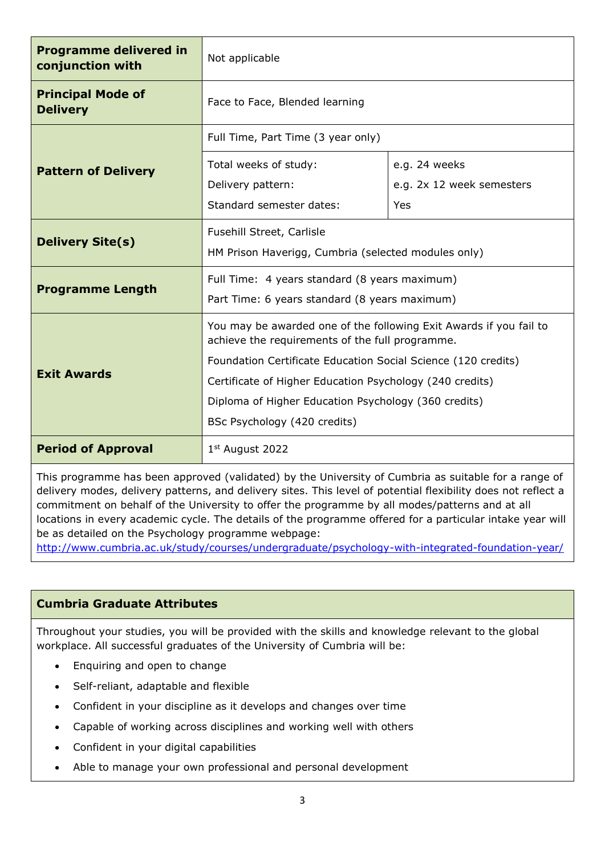| <b>Programme delivered in</b><br>conjunction with | Not applicable                                                                                                        |                           |  |
|---------------------------------------------------|-----------------------------------------------------------------------------------------------------------------------|---------------------------|--|
| <b>Principal Mode of</b><br><b>Delivery</b>       | Face to Face, Blended learning                                                                                        |                           |  |
|                                                   | Full Time, Part Time (3 year only)                                                                                    |                           |  |
| <b>Pattern of Delivery</b>                        | Total weeks of study:                                                                                                 | e.g. 24 weeks             |  |
|                                                   | Delivery pattern:                                                                                                     | e.g. 2x 12 week semesters |  |
|                                                   | Standard semester dates:                                                                                              | Yes                       |  |
|                                                   | Fusehill Street, Carlisle                                                                                             |                           |  |
| <b>Delivery Site(s)</b>                           | HM Prison Haverigg, Cumbria (selected modules only)                                                                   |                           |  |
|                                                   | Full Time: 4 years standard (8 years maximum)                                                                         |                           |  |
| <b>Programme Length</b>                           | Part Time: 6 years standard (8 years maximum)                                                                         |                           |  |
|                                                   | You may be awarded one of the following Exit Awards if you fail to<br>achieve the requirements of the full programme. |                           |  |
|                                                   | Foundation Certificate Education Social Science (120 credits)                                                         |                           |  |
| <b>Exit Awards</b>                                | Certificate of Higher Education Psychology (240 credits)                                                              |                           |  |
|                                                   | Diploma of Higher Education Psychology (360 credits)                                                                  |                           |  |
| BSc Psychology (420 credits)                      |                                                                                                                       |                           |  |
| <b>Period of Approval</b>                         | $1st$ August 2022                                                                                                     |                           |  |

This programme has been approved (validated) by the University of Cumbria as suitable for a range of delivery modes, delivery patterns, and delivery sites. This level of potential flexibility does not reflect a commitment on behalf of the University to offer the programme by all modes/patterns and at all locations in every academic cycle. The details of the programme offered for a particular intake year will be as detailed on the Psychology programme webpage:

<http://www.cumbria.ac.uk/study/courses/undergraduate/psychology-with-integrated-foundation-year/>

# **Cumbria Graduate Attributes**

Throughout your studies, you will be provided with the skills and knowledge relevant to the global workplace. All successful graduates of the University of Cumbria will be:

- Enquiring and open to change
- Self-reliant, adaptable and flexible
- Confident in your discipline as it develops and changes over time
- Capable of working across disciplines and working well with others
- Confident in your digital capabilities
- Able to manage your own professional and personal development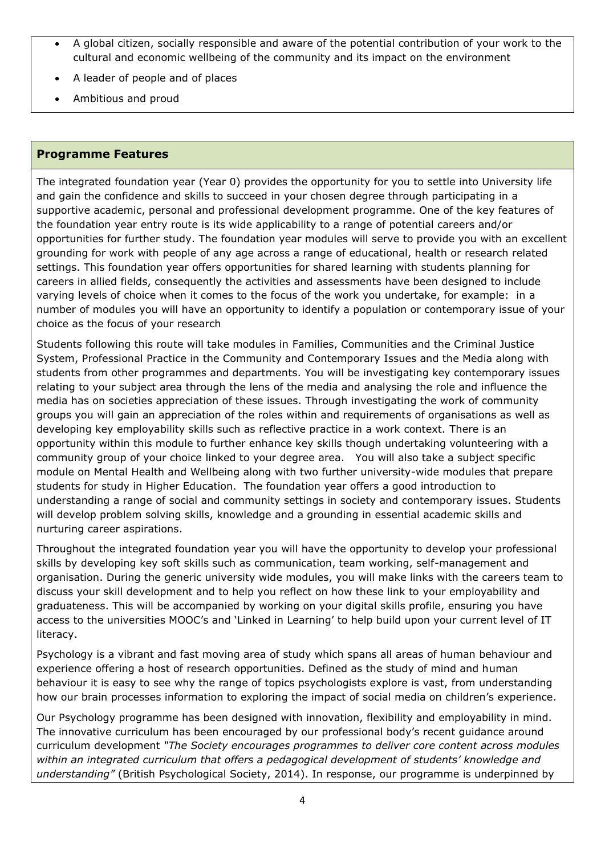- A global citizen, socially responsible and aware of the potential contribution of your work to the cultural and economic wellbeing of the community and its impact on the environment
- A leader of people and of places
- Ambitious and proud

#### **Programme Features**

The integrated foundation year (Year 0) provides the opportunity for you to settle into University life and gain the confidence and skills to succeed in your chosen degree through participating in a supportive academic, personal and professional development programme. One of the key features of the foundation year entry route is its wide applicability to a range of potential careers and/or opportunities for further study. The foundation year modules will serve to provide you with an excellent grounding for work with people of any age across a range of educational, health or research related settings. This foundation year offers opportunities for shared learning with students planning for careers in allied fields, consequently the activities and assessments have been designed to include varying levels of choice when it comes to the focus of the work you undertake, for example: in a number of modules you will have an opportunity to identify a population or contemporary issue of your choice as the focus of your research

Students following this route will take modules in Families, Communities and the Criminal Justice System, Professional Practice in the Community and Contemporary Issues and the Media along with students from other programmes and departments. You will be investigating key contemporary issues relating to your subject area through the lens of the media and analysing the role and influence the media has on societies appreciation of these issues. Through investigating the work of community groups you will gain an appreciation of the roles within and requirements of organisations as well as developing key employability skills such as reflective practice in a work context. There is an opportunity within this module to further enhance key skills though undertaking volunteering with a community group of your choice linked to your degree area. You will also take a subject specific module on Mental Health and Wellbeing along with two further university-wide modules that prepare students for study in Higher Education. The foundation year offers a good introduction to understanding a range of social and community settings in society and contemporary issues. Students will develop problem solving skills, knowledge and a grounding in essential academic skills and nurturing career aspirations.

Throughout the integrated foundation year you will have the opportunity to develop your professional skills by developing key soft skills such as communication, team working, self-management and organisation. During the generic university wide modules, you will make links with the careers team to discuss your skill development and to help you reflect on how these link to your employability and graduateness. This will be accompanied by working on your digital skills profile, ensuring you have access to the universities MOOC's and 'Linked in Learning' to help build upon your current level of IT literacy.

Psychology is a vibrant and fast moving area of study which spans all areas of human behaviour and experience offering a host of research opportunities. Defined as the study of mind and human behaviour it is easy to see why the range of topics psychologists explore is vast, from understanding how our brain processes information to exploring the impact of social media on children's experience.

Our Psychology programme has been designed with innovation, flexibility and employability in mind. The innovative curriculum has been encouraged by our professional body's recent guidance around curriculum development *"The Society encourages programmes to deliver core content across modules within an integrated curriculum that offers a pedagogical development of students' knowledge and understanding"* (British Psychological Society, 2014). In response, our programme is underpinned by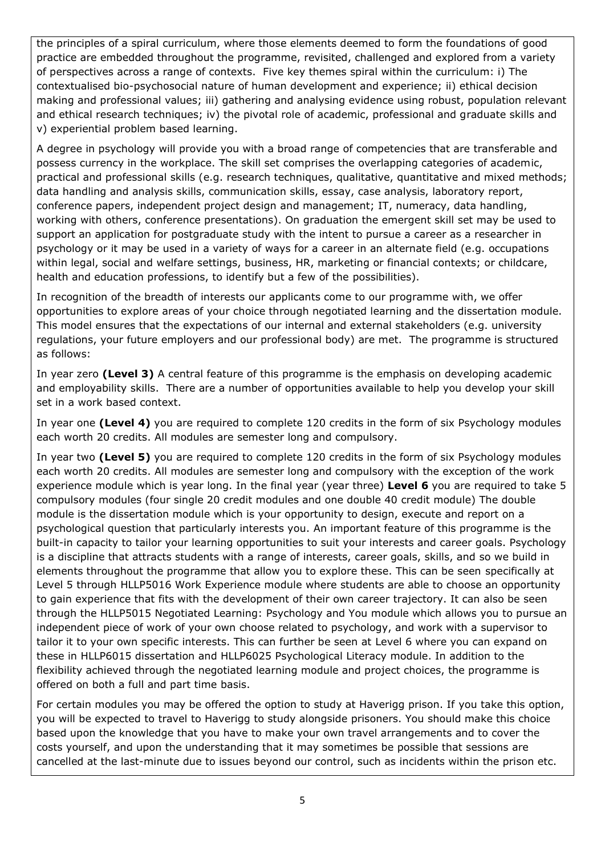the principles of a spiral curriculum, where those elements deemed to form the foundations of good practice are embedded throughout the programme, revisited, challenged and explored from a variety of perspectives across a range of contexts. Five key themes spiral within the curriculum: i) The contextualised bio-psychosocial nature of human development and experience; ii) ethical decision making and professional values; iii) gathering and analysing evidence using robust, population relevant and ethical research techniques; iv) the pivotal role of academic, professional and graduate skills and v) experiential problem based learning.

A degree in psychology will provide you with a broad range of competencies that are transferable and possess currency in the workplace. The skill set comprises the overlapping categories of academic, practical and professional skills (e.g. research techniques, qualitative, quantitative and mixed methods; data handling and analysis skills, communication skills, essay, case analysis, laboratory report, conference papers, independent project design and management; IT, numeracy, data handling, working with others, conference presentations). On graduation the emergent skill set may be used to support an application for postgraduate study with the intent to pursue a career as a researcher in psychology or it may be used in a variety of ways for a career in an alternate field (e.g. occupations within legal, social and welfare settings, business, HR, marketing or financial contexts; or childcare, health and education professions, to identify but a few of the possibilities).

In recognition of the breadth of interests our applicants come to our programme with, we offer opportunities to explore areas of your choice through negotiated learning and the dissertation module. This model ensures that the expectations of our internal and external stakeholders (e.g. university regulations, your future employers and our professional body) are met. The programme is structured as follows:

In year zero **(Level 3)** A central feature of this programme is the emphasis on developing academic and employability skills. There are a number of opportunities available to help you develop your skill set in a work based context.

In year one **(Level 4)** you are required to complete 120 credits in the form of six Psychology modules each worth 20 credits. All modules are semester long and compulsory.

In year two **(Level 5)** you are required to complete 120 credits in the form of six Psychology modules each worth 20 credits. All modules are semester long and compulsory with the exception of the work experience module which is year long. In the final year (year three) **Level 6** you are required to take 5 compulsory modules (four single 20 credit modules and one double 40 credit module) The double module is the dissertation module which is your opportunity to design, execute and report on a psychological question that particularly interests you. An important feature of this programme is the built-in capacity to tailor your learning opportunities to suit your interests and career goals. Psychology is a discipline that attracts students with a range of interests, career goals, skills, and so we build in elements throughout the programme that allow you to explore these. This can be seen specifically at Level 5 through HLLP5016 Work Experience module where students are able to choose an opportunity to gain experience that fits with the development of their own career trajectory. It can also be seen through the HLLP5015 Negotiated Learning: Psychology and You module which allows you to pursue an independent piece of work of your own choose related to psychology, and work with a supervisor to tailor it to your own specific interests. This can further be seen at Level 6 where you can expand on these in HLLP6015 dissertation and HLLP6025 Psychological Literacy module. In addition to the flexibility achieved through the negotiated learning module and project choices, the programme is offered on both a full and part time basis.

For certain modules you may be offered the option to study at Haverigg prison. If you take this option, you will be expected to travel to Haverigg to study alongside prisoners. You should make this choice based upon the knowledge that you have to make your own travel arrangements and to cover the costs yourself, and upon the understanding that it may sometimes be possible that sessions are cancelled at the last-minute due to issues beyond our control, such as incidents within the prison etc.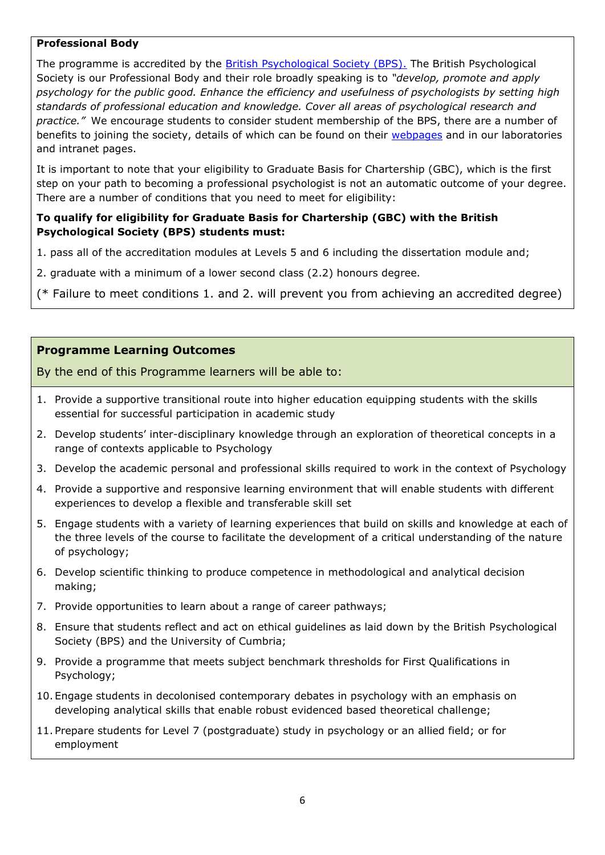#### **Professional Body**

The programme is accredited by the [British Psychological Society \(BPS\).](http://www.bps.org.uk/about-us/what-we-do) The British Psychological Society is our Professional Body and their role broadly speaking is to *"develop, promote and apply psychology for the public good. Enhance the efficiency and usefulness of psychologists by setting high standards of professional education and knowledge. Cover all areas of psychological research and practice."* We encourage students to consider student membership of the BPS, there are a number of benefits to joining the society, details of which can be found on their [webpages](http://www.bps.org.uk/what-we-do/benefits-belonging/membership/membership) and in our laboratories and intranet pages.

It is important to note that your eligibility to Graduate Basis for Chartership (GBC), which is the first step on your path to becoming a professional psychologist is not an automatic outcome of your degree. There are a number of conditions that you need to meet for eligibility:

#### **To qualify for eligibility for Graduate Basis for Chartership (GBC) with the British Psychological Society (BPS) students must:**

- 1. pass all of the accreditation modules at Levels 5 and 6 including the dissertation module and;
- 2. graduate with a minimum of a lower second class (2.2) honours degree.

(\* Failure to meet conditions 1. and 2. will prevent you from achieving an accredited degree)

## **Programme Learning Outcomes**

By the end of this Programme learners will be able to:

- 1. Provide a supportive transitional route into higher education equipping students with the skills essential for successful participation in academic study
- 2. Develop students' inter-disciplinary knowledge through an exploration of theoretical concepts in a range of contexts applicable to Psychology
- 3. Develop the academic personal and professional skills required to work in the context of Psychology
- 4. Provide a supportive and responsive learning environment that will enable students with different experiences to develop a flexible and transferable skill set
- 5. Engage students with a variety of learning experiences that build on skills and knowledge at each of the three levels of the course to facilitate the development of a critical understanding of the nature of psychology;
- 6. Develop scientific thinking to produce competence in methodological and analytical decision making;
- 7. Provide opportunities to learn about a range of career pathways;
- 8. Ensure that students reflect and act on ethical guidelines as laid down by the British Psychological Society (BPS) and the University of Cumbria;
- 9. Provide a programme that meets subject benchmark thresholds for First Qualifications in Psychology;
- 10. Engage students in decolonised contemporary debates in psychology with an emphasis on developing analytical skills that enable robust evidenced based theoretical challenge;
- 11. Prepare students for Level 7 (postgraduate) study in psychology or an allied field; or for employment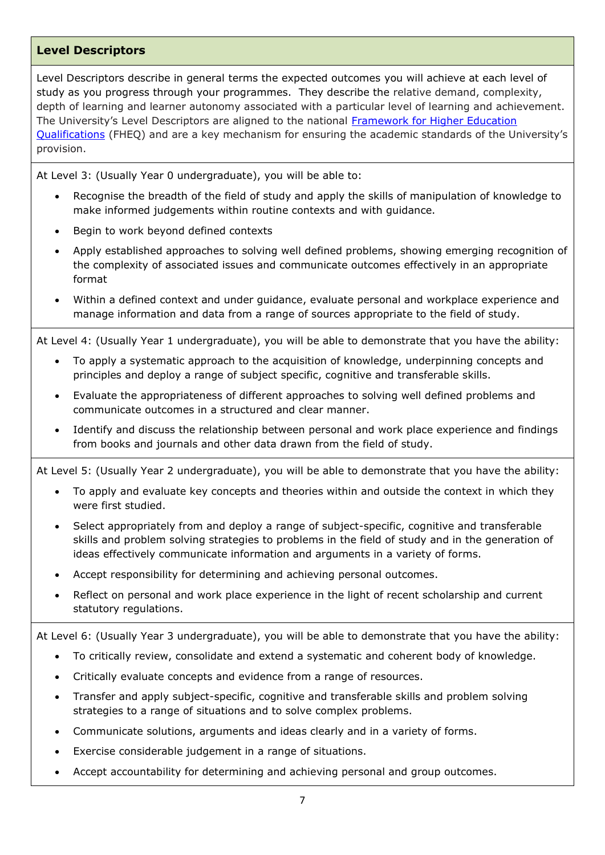#### **Level Descriptors**

Level Descriptors describe in general terms the expected outcomes you will achieve at each level of study as you progress through your programmes. They describe the relative demand, complexity, depth of learning and learner autonomy associated with a particular level of learning and achievement. The University's Level Descriptors are aligned to the national [Framework for Higher Education](http://www.qaa.ac.uk/en/Publications/Documents/qualifications-frameworks.pdf)  [Qualifications](http://www.qaa.ac.uk/en/Publications/Documents/qualifications-frameworks.pdf) (FHEQ) and are a key mechanism for ensuring the academic standards of the University's provision.

At Level 3: (Usually Year 0 undergraduate), you will be able to:

- Recognise the breadth of the field of study and apply the skills of manipulation of knowledge to make informed judgements within routine contexts and with guidance.
- Begin to work beyond defined contexts
- Apply established approaches to solving well defined problems, showing emerging recognition of the complexity of associated issues and communicate outcomes effectively in an appropriate format
- Within a defined context and under guidance, evaluate personal and workplace experience and manage information and data from a range of sources appropriate to the field of study.

At Level 4: (Usually Year 1 undergraduate), you will be able to demonstrate that you have the ability:

- To apply a systematic approach to the acquisition of knowledge, underpinning concepts and principles and deploy a range of subject specific, cognitive and transferable skills.
- Evaluate the appropriateness of different approaches to solving well defined problems and communicate outcomes in a structured and clear manner.
- Identify and discuss the relationship between personal and work place experience and findings from books and journals and other data drawn from the field of study.

At Level 5: (Usually Year 2 undergraduate), you will be able to demonstrate that you have the ability:

- To apply and evaluate key concepts and theories within and outside the context in which they were first studied.
- Select appropriately from and deploy a range of subject-specific, cognitive and transferable skills and problem solving strategies to problems in the field of study and in the generation of ideas effectively communicate information and arguments in a variety of forms.
- Accept responsibility for determining and achieving personal outcomes.
- Reflect on personal and work place experience in the light of recent scholarship and current statutory regulations.

At Level 6: (Usually Year 3 undergraduate), you will be able to demonstrate that you have the ability:

- To critically review, consolidate and extend a systematic and coherent body of knowledge.
- Critically evaluate concepts and evidence from a range of resources.
- Transfer and apply subject-specific, cognitive and transferable skills and problem solving strategies to a range of situations and to solve complex problems.
- Communicate solutions, arguments and ideas clearly and in a variety of forms.
- Exercise considerable judgement in a range of situations.
- Accept accountability for determining and achieving personal and group outcomes.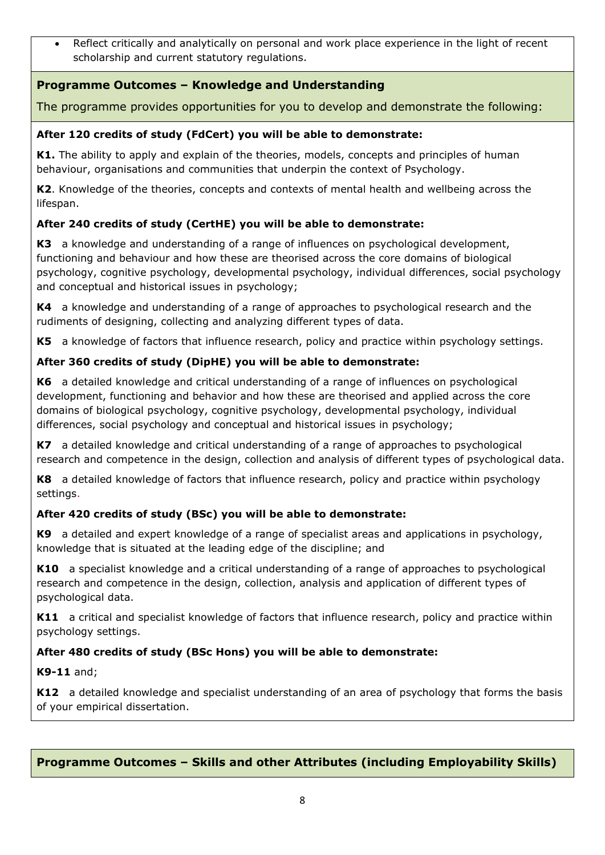• Reflect critically and analytically on personal and work place experience in the light of recent scholarship and current statutory regulations.

# **Programme Outcomes – Knowledge and Understanding**

The programme provides opportunities for you to develop and demonstrate the following:

## **After 120 credits of study (FdCert) you will be able to demonstrate:**

**K1.** The ability to apply and explain of the theories, models, concepts and principles of human behaviour, organisations and communities that underpin the context of Psychology.

**K2**. Knowledge of the theories, concepts and contexts of mental health and wellbeing across the lifespan.

## **After 240 credits of study (CertHE) you will be able to demonstrate:**

**K3** a knowledge and understanding of a range of influences on psychological development, functioning and behaviour and how these are theorised across the core domains of biological psychology, cognitive psychology, developmental psychology, individual differences, social psychology and conceptual and historical issues in psychology;

**K4** a knowledge and understanding of a range of approaches to psychological research and the rudiments of designing, collecting and analyzing different types of data.

**K5** a knowledge of factors that influence research, policy and practice within psychology settings.

# **After 360 credits of study (DipHE) you will be able to demonstrate:**

**K6** a detailed knowledge and critical understanding of a range of influences on psychological development, functioning and behavior and how these are theorised and applied across the core domains of biological psychology, cognitive psychology, developmental psychology, individual differences, social psychology and conceptual and historical issues in psychology;

**K7** a detailed knowledge and critical understanding of a range of approaches to psychological research and competence in the design, collection and analysis of different types of psychological data.

**K8** a detailed knowledge of factors that influence research, policy and practice within psychology settings.

#### **After 420 credits of study (BSc) you will be able to demonstrate:**

**K9** a detailed and expert knowledge of a range of specialist areas and applications in psychology, knowledge that is situated at the leading edge of the discipline; and

**K10** a specialist knowledge and a critical understanding of a range of approaches to psychological research and competence in the design, collection, analysis and application of different types of psychological data.

**K11** a critical and specialist knowledge of factors that influence research, policy and practice within psychology settings.

#### **After 480 credits of study (BSc Hons) you will be able to demonstrate:**

**K9-11** and;

**K12** a detailed knowledge and specialist understanding of an area of psychology that forms the basis of your empirical dissertation.

# **Programme Outcomes – Skills and other Attributes (including Employability Skills)**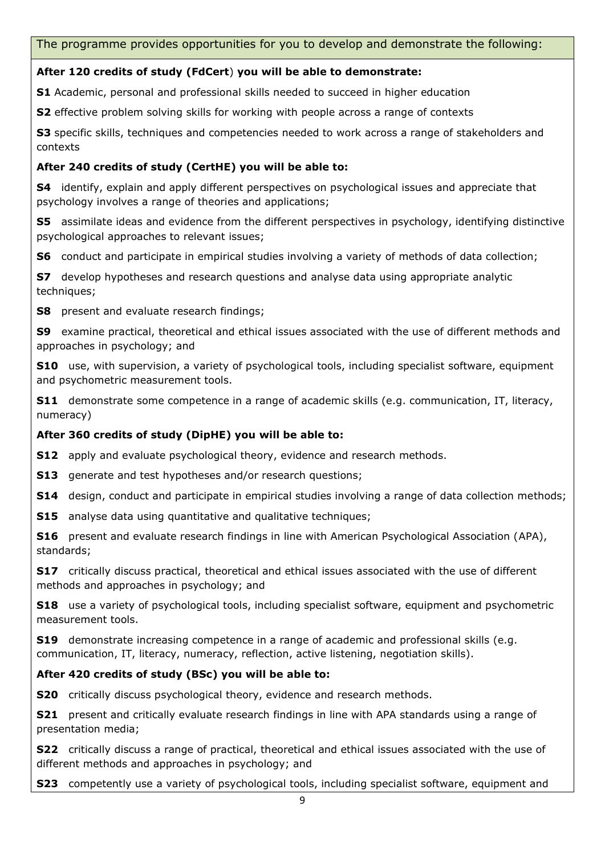The programme provides opportunities for you to develop and demonstrate the following:

#### **After 120 credits of study (FdCert**) **you will be able to demonstrate:**

**S1** Academic, personal and professional skills needed to succeed in higher education

**S2** effective problem solving skills for working with people across a range of contexts

**S3** specific skills, techniques and competencies needed to work across a range of stakeholders and contexts

#### **After 240 credits of study (CertHE) you will be able to:**

**S4** identify, explain and apply different perspectives on psychological issues and appreciate that psychology involves a range of theories and applications;

**S5** assimilate ideas and evidence from the different perspectives in psychology, identifying distinctive psychological approaches to relevant issues;

**S6** conduct and participate in empirical studies involving a variety of methods of data collection;

**S7** develop hypotheses and research questions and analyse data using appropriate analytic techniques;

**S8** present and evaluate research findings;

**S9** examine practical, theoretical and ethical issues associated with the use of different methods and approaches in psychology; and

**S10** use, with supervision, a variety of psychological tools, including specialist software, equipment and psychometric measurement tools.

**S11** demonstrate some competence in a range of academic skills (e.g. communication, IT, literacy, numeracy)

#### **After 360 credits of study (DipHE) you will be able to:**

**S12** apply and evaluate psychological theory, evidence and research methods.

**S13** generate and test hypotheses and/or research questions;

**S14** design, conduct and participate in empirical studies involving a range of data collection methods;

**S15** analyse data using quantitative and qualitative techniques;

**S16** present and evaluate research findings in line with American Psychological Association (APA), standards;

**S17** critically discuss practical, theoretical and ethical issues associated with the use of different methods and approaches in psychology; and

**S18** use a variety of psychological tools, including specialist software, equipment and psychometric measurement tools.

**S19** demonstrate increasing competence in a range of academic and professional skills (e.g. communication, IT, literacy, numeracy, reflection, active listening, negotiation skills).

#### **After 420 credits of study (BSc) you will be able to:**

**S20** critically discuss psychological theory, evidence and research methods.

**S21** present and critically evaluate research findings in line with APA standards using a range of presentation media;

**S22** critically discuss a range of practical, theoretical and ethical issues associated with the use of different methods and approaches in psychology; and

**S23** competently use a variety of psychological tools, including specialist software, equipment and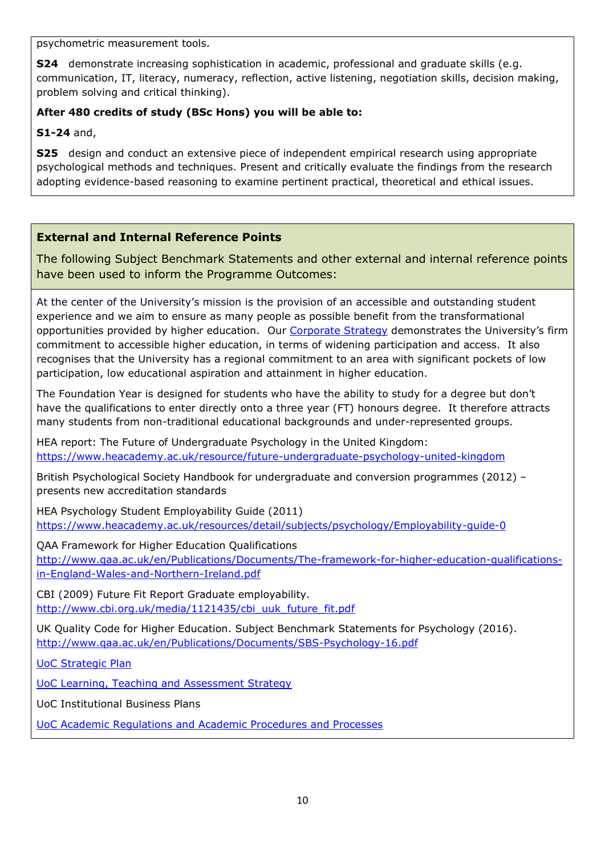psychometric measurement tools.

**S24** demonstrate increasing sophistication in academic, professional and graduate skills (e.g. communication, IT, literacy, numeracy, reflection, active listening, negotiation skills, decision making, problem solving and critical thinking).

## **After 480 credits of study (BSc Hons) you will be able to:**

**S1-24** and,

**S25** design and conduct an extensive piece of independent empirical research using appropriate psychological methods and techniques. Present and critically evaluate the findings from the research adopting evidence-based reasoning to examine pertinent practical, theoretical and ethical issues.

## **External and Internal Reference Points**

The following Subject Benchmark Statements and other external and internal reference points have been used to inform the Programme Outcomes:

At the center of the University's mission is the provision of an accessible and outstanding student experience and we aim to ensure as many people as possible benefit from the transformational opportunities provided by higher education. Our [Corporate Strategy](https://www.cumbria.ac.uk/media/university-of-cumbria-website/content-assets/public/vco/documents/communications/publications/CorporateStrategy2015-18.pdf) demonstrates the University's firm commitment to accessible higher education, in terms of widening participation and access. It also recognises that the University has a regional commitment to an area with significant pockets of low participation, low educational aspiration and attainment in higher education.

The Foundation Year is designed for students who have the ability to study for a degree but don't have the qualifications to enter directly onto a three year (FT) honours degree. It therefore attracts many students from non-traditional educational backgrounds and under-represented groups.

HEA report: The Future of Undergraduate Psychology in the United Kingdom: <https://www.heacademy.ac.uk/resource/future-undergraduate-psychology-united-kingdom>

British Psychological Society Handbook for undergraduate and conversion programmes (2012) – presents new accreditation standards

HEA Psychology Student Employability Guide (2011) <https://www.heacademy.ac.uk/resources/detail/subjects/psychology/Employability-guide-0>

QAA Framework for Higher Education Qualifications [http://www.qaa.ac.uk/en/Publications/Documents/The-framework-for-higher-education-qualifications](http://www.qaa.ac.uk/en/Publications/Documents/The-framework-for-higher-education-qualifications-in-England-Wales-and-Northern-Ireland.pdf)[in-England-Wales-and-Northern-Ireland.pdf](http://www.qaa.ac.uk/en/Publications/Documents/The-framework-for-higher-education-qualifications-in-England-Wales-and-Northern-Ireland.pdf)

CBI (2009) Future Fit Report Graduate employability. [http://www.cbi.org.uk/media/1121435/cbi\\_uuk\\_future\\_fit.pdf](http://www.cbi.org.uk/media/1121435/cbi_uuk_future_fit.pdf)

UK Quality Code for Higher Education. Subject Benchmark Statements for Psychology (2016). <http://www.qaa.ac.uk/en/Publications/Documents/SBS-Psychology-16.pdf>

[UoC Strategic Plan](https://www.cumbria.ac.uk/about/publications/strategic-plan/)

[UoC Learning, Teaching and Assessment Strategy](https://www.cumbria.ac.uk/media/university-of-cumbria-website/content-assets/public/aqs/documents/LearningTeachingAssessmentStrategy.pdf)

UoC Institutional Business Plans

[UoC Academic Regulations and Academic Procedures and Processes](https://www.cumbria.ac.uk/about/organisation/professional-services/academic-quality-and-development/academic-regulations/)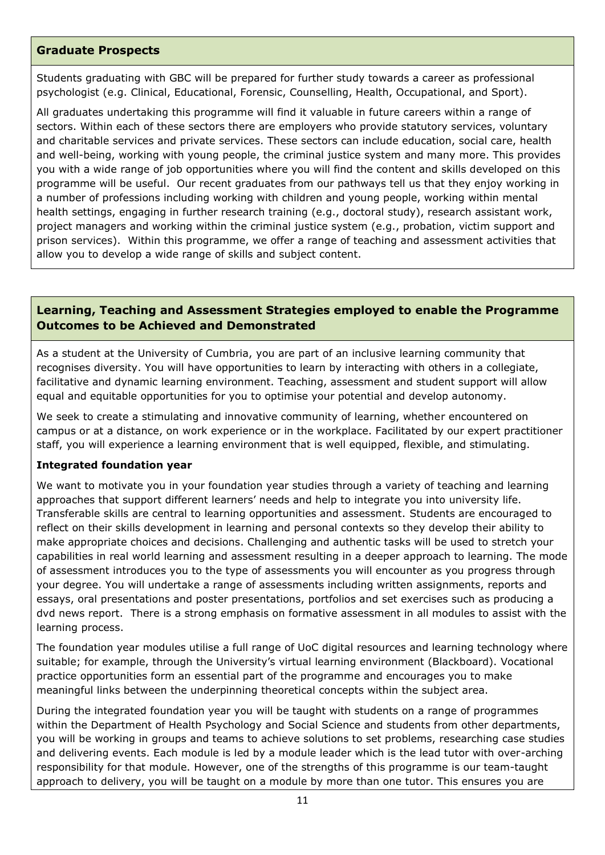#### **Graduate Prospects**

Students graduating with GBC will be prepared for further study towards a career as professional psychologist (e.g. Clinical, Educational, Forensic, Counselling, Health, Occupational, and Sport).

All graduates undertaking this programme will find it valuable in future careers within a range of sectors. Within each of these sectors there are employers who provide statutory services, voluntary and charitable services and private services. These sectors can include education, social care, health and well-being, working with young people, the criminal justice system and many more. This provides you with a wide range of job opportunities where you will find the content and skills developed on this programme will be useful. Our recent graduates from our pathways tell us that they enjoy working in a number of professions including working with children and young people, working within mental health settings, engaging in further research training (e.g., doctoral study), research assistant work, project managers and working within the criminal justice system (e.g., probation, victim support and prison services). Within this programme, we offer a range of teaching and assessment activities that allow you to develop a wide range of skills and subject content.

#### **Learning, Teaching and Assessment Strategies employed to enable the Programme Outcomes to be Achieved and Demonstrated**

As a student at the University of Cumbria, you are part of an inclusive learning community that recognises diversity. You will have opportunities to learn by interacting with others in a collegiate, facilitative and dynamic learning environment. Teaching, assessment and student support will allow equal and equitable opportunities for you to optimise your potential and develop autonomy.

We seek to create a stimulating and innovative community of learning, whether encountered on campus or at a distance, on work experience or in the workplace. Facilitated by our expert practitioner staff, you will experience a learning environment that is well equipped, flexible, and stimulating.

#### **Integrated foundation year**

We want to motivate you in your foundation year studies through a variety of teaching and learning approaches that support different learners' needs and help to integrate you into university life. Transferable skills are central to learning opportunities and assessment. Students are encouraged to reflect on their skills development in learning and personal contexts so they develop their ability to make appropriate choices and decisions. Challenging and authentic tasks will be used to stretch your capabilities in real world learning and assessment resulting in a deeper approach to learning. The mode of assessment introduces you to the type of assessments you will encounter as you progress through your degree. You will undertake a range of assessments including written assignments, reports and essays, oral presentations and poster presentations, portfolios and set exercises such as producing a dvd news report. There is a strong emphasis on formative assessment in all modules to assist with the learning process.

The foundation year modules utilise a full range of UoC digital resources and learning technology where suitable; for example, through the University's virtual learning environment (Blackboard). Vocational practice opportunities form an essential part of the programme and encourages you to make meaningful links between the underpinning theoretical concepts within the subject area.

During the integrated foundation year you will be taught with students on a range of programmes within the Department of Health Psychology and Social Science and students from other departments, you will be working in groups and teams to achieve solutions to set problems, researching case studies and delivering events. Each module is led by a module leader which is the lead tutor with over-arching responsibility for that module. However, one of the strengths of this programme is our team-taught approach to delivery, you will be taught on a module by more than one tutor. This ensures you are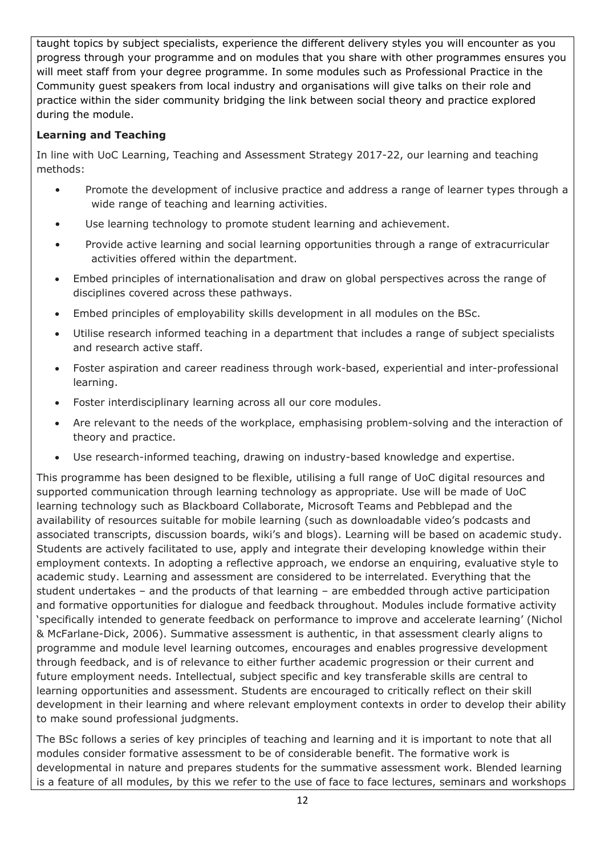taught topics by subject specialists, experience the different delivery styles you will encounter as you progress through your programme and on modules that you share with other programmes ensures you will meet staff from your degree programme. In some modules such as Professional Practice in the Community guest speakers from local industry and organisations will give talks on their role and practice within the sider community bridging the link between social theory and practice explored during the module.

## **Learning and Teaching**

In line with UoC Learning, Teaching and Assessment Strategy 2017-22, our learning and teaching methods:

- Promote the development of inclusive practice and address a range of learner types through a wide range of teaching and learning activities.
- Use learning technology to promote student learning and achievement.
- Provide active learning and social learning opportunities through a range of extracurricular activities offered within the department.
- Embed principles of internationalisation and draw on global perspectives across the range of disciplines covered across these pathways.
- Embed principles of employability skills development in all modules on the BSc.
- Utilise research informed teaching in a department that includes a range of subject specialists and research active staff.
- Foster aspiration and career readiness through work-based, experiential and inter-professional learning.
- Foster interdisciplinary learning across all our core modules.
- Are relevant to the needs of the workplace, emphasising problem-solving and the interaction of theory and practice.
- Use research-informed teaching, drawing on industry-based knowledge and expertise.

This programme has been designed to be flexible, utilising a full range of UoC digital resources and supported communication through learning technology as appropriate. Use will be made of UoC learning technology such as Blackboard Collaborate, Microsoft Teams and Pebblepad and the availability of resources suitable for mobile learning (such as downloadable video's podcasts and associated transcripts, discussion boards, wiki's and blogs). Learning will be based on academic study. Students are actively facilitated to use, apply and integrate their developing knowledge within their employment contexts. In adopting a reflective approach, we endorse an enquiring, evaluative style to academic study. Learning and assessment are considered to be interrelated. Everything that the student undertakes – and the products of that learning – are embedded through active participation and formative opportunities for dialogue and feedback throughout. Modules include formative activity 'specifically intended to generate feedback on performance to improve and accelerate learning' (Nichol & McFarlane-Dick, 2006). Summative assessment is authentic, in that assessment clearly aligns to programme and module level learning outcomes, encourages and enables progressive development through feedback, and is of relevance to either further academic progression or their current and future employment needs. Intellectual, subject specific and key transferable skills are central to learning opportunities and assessment. Students are encouraged to critically reflect on their skill development in their learning and where relevant employment contexts in order to develop their ability to make sound professional judgments.

The BSc follows a series of key principles of teaching and learning and it is important to note that all modules consider formative assessment to be of considerable benefit. The formative work is developmental in nature and prepares students for the summative assessment work. Blended learning is a feature of all modules, by this we refer to the use of face to face lectures, seminars and workshops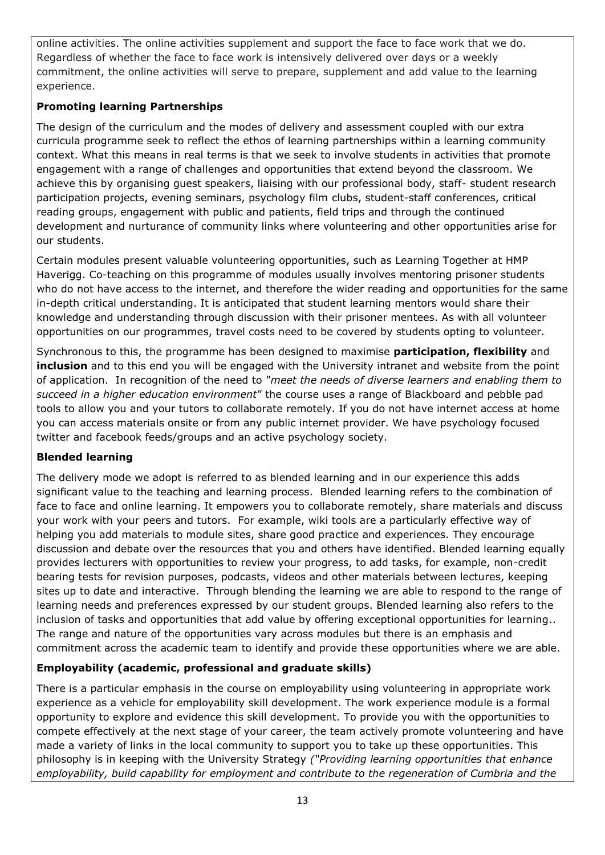online activities. The online activities supplement and support the face to face work that we do. Regardless of whether the face to face work is intensively delivered over days or a weekly commitment, the online activities will serve to prepare, supplement and add value to the learning experience.

### **Promoting learning Partnerships**

The design of the curriculum and the modes of delivery and assessment coupled with our extra curricula programme seek to reflect the ethos of learning partnerships within a learning community context. What this means in real terms is that we seek to involve students in activities that promote engagement with a range of challenges and opportunities that extend beyond the classroom. We achieve this by organising guest speakers, liaising with our professional body, staff- student research participation projects, evening seminars, psychology film clubs, student-staff conferences, critical reading groups, engagement with public and patients, field trips and through the continued development and nurturance of community links where volunteering and other opportunities arise for our students.

Certain modules present valuable volunteering opportunities, such as Learning Together at HMP Haverigg. Co-teaching on this programme of modules usually involves mentoring prisoner students who do not have access to the internet, and therefore the wider reading and opportunities for the same in-depth critical understanding. It is anticipated that student learning mentors would share their knowledge and understanding through discussion with their prisoner mentees. As with all volunteer opportunities on our programmes, travel costs need to be covered by students opting to volunteer.

Synchronous to this, the programme has been designed to maximise **participation, flexibility** and **inclusion** and to this end you will be engaged with the University intranet and website from the point of application. In recognition of the need to *"meet the needs of diverse learners and enabling them to succeed in a higher education environment*" the course uses a range of Blackboard and pebble pad tools to allow you and your tutors to collaborate remotely. If you do not have internet access at home you can access materials onsite or from any public internet provider. We have psychology focused twitter and facebook feeds/groups and an active psychology society.

#### **Blended learning**

The delivery mode we adopt is referred to as blended learning and in our experience this adds significant value to the teaching and learning process. Blended learning refers to the combination of face to face and online learning. It empowers you to collaborate remotely, share materials and discuss your work with your peers and tutors. For example, wiki tools are a particularly effective way of helping you add materials to module sites, share good practice and experiences. They encourage discussion and debate over the resources that you and others have identified. Blended learning equally provides lecturers with opportunities to review your progress, to add tasks, for example, non-credit bearing tests for revision purposes, podcasts, videos and other materials between lectures, keeping sites up to date and interactive. Through blending the learning we are able to respond to the range of learning needs and preferences expressed by our student groups. Blended learning also refers to the inclusion of tasks and opportunities that add value by offering exceptional opportunities for learning.. The range and nature of the opportunities vary across modules but there is an emphasis and commitment across the academic team to identify and provide these opportunities where we are able.

# **Employability (academic, professional and graduate skills)**

There is a particular emphasis in the course on employability using volunteering in appropriate work experience as a vehicle for employability skill development. The work experience module is a formal opportunity to explore and evidence this skill development. To provide you with the opportunities to compete effectively at the next stage of your career, the team actively promote volunteering and have made a variety of links in the local community to support you to take up these opportunities. This philosophy is in keeping with the University Strategy *("Providing learning opportunities that enhance employability, build capability for employment and contribute to the regeneration of Cumbria and the*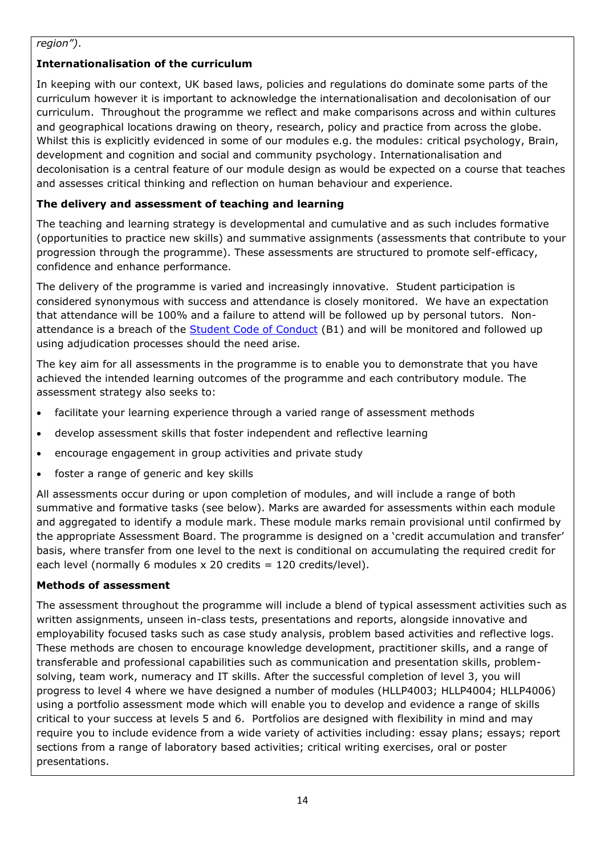#### *region")*.

# **Internationalisation of the curriculum**

In keeping with our context, UK based laws, policies and regulations do dominate some parts of the curriculum however it is important to acknowledge the internationalisation and decolonisation of our curriculum. Throughout the programme we reflect and make comparisons across and within cultures and geographical locations drawing on theory, research, policy and practice from across the globe. Whilst this is explicitly evidenced in some of our modules e.g. the modules: critical psychology, Brain, development and cognition and social and community psychology. Internationalisation and decolonisation is a central feature of our module design as would be expected on a course that teaches and assesses critical thinking and reflection on human behaviour and experience.

# **The delivery and assessment of teaching and learning**

The teaching and learning strategy is developmental and cumulative and as such includes formative (opportunities to practice new skills) and summative assignments (assessments that contribute to your progression through the programme). These assessments are structured to promote self-efficacy, confidence and enhance performance.

The delivery of the programme is varied and increasingly innovative. Student participation is considered synonymous with success and attendance is closely monitored. We have an expectation that attendance will be 100% and a failure to attend will be followed up by personal tutors. Nonattendance is a breach of the [Student Code of Conduct](http://my.cumbria.ac.uk/StudentLife/Support/PuttingThingsRight/StudentConduct.aspx) (B1) and will be monitored and followed up using adjudication processes should the need arise.

The key aim for all assessments in the programme is to enable you to demonstrate that you have achieved the intended learning outcomes of the programme and each contributory module. The assessment strategy also seeks to:

- facilitate your learning experience through a varied range of assessment methods
- develop assessment skills that foster independent and reflective learning
- encourage engagement in group activities and private study
- foster a range of generic and key skills

All assessments occur during or upon completion of modules, and will include a range of both summative and formative tasks (see below). Marks are awarded for assessments within each module and aggregated to identify a module mark. These module marks remain provisional until confirmed by the appropriate Assessment Board. The programme is designed on a 'credit accumulation and transfer' basis, where transfer from one level to the next is conditional on accumulating the required credit for each level (normally 6 modules  $x$  20 credits = 120 credits/level).

# **Methods of assessment**

The assessment throughout the programme will include a blend of typical assessment activities such as written assignments, unseen in-class tests, presentations and reports, alongside innovative and employability focused tasks such as case study analysis, problem based activities and reflective logs. These methods are chosen to encourage knowledge development, practitioner skills, and a range of transferable and professional capabilities such as communication and presentation skills, problemsolving, team work, numeracy and IT skills. After the successful completion of level 3, you will progress to level 4 where we have designed a number of modules (HLLP4003; HLLP4004; HLLP4006) using a portfolio assessment mode which will enable you to develop and evidence a range of skills critical to your success at levels 5 and 6. Portfolios are designed with flexibility in mind and may require you to include evidence from a wide variety of activities including: essay plans; essays; report sections from a range of laboratory based activities; critical writing exercises, oral or poster presentations.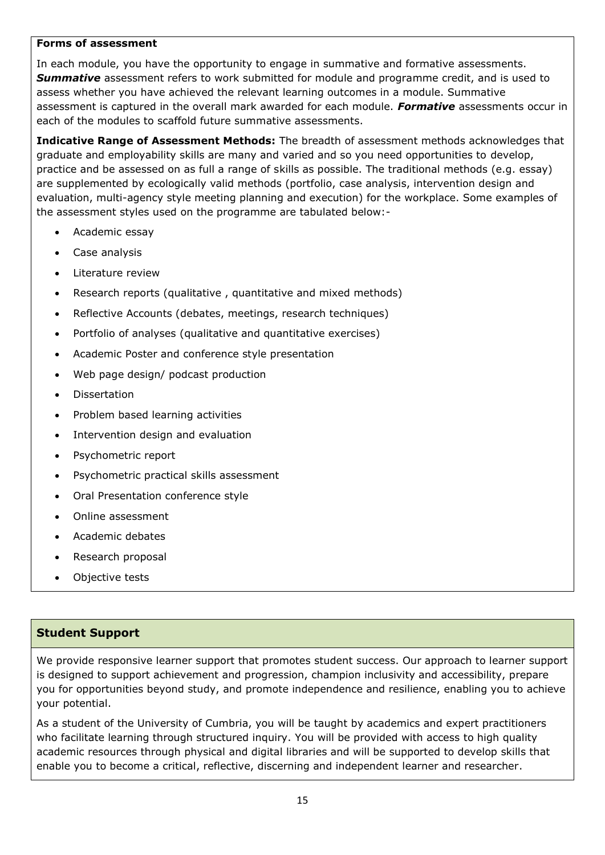#### **Forms of assessment**

In each module, you have the opportunity to engage in summative and formative assessments. **Summative** assessment refers to work submitted for module and programme credit, and is used to assess whether you have achieved the relevant learning outcomes in a module. Summative assessment is captured in the overall mark awarded for each module. *Formative* assessments occur in each of the modules to scaffold future summative assessments.

**Indicative Range of Assessment Methods:** The breadth of assessment methods acknowledges that graduate and employability skills are many and varied and so you need opportunities to develop, practice and be assessed on as full a range of skills as possible. The traditional methods (e.g. essay) are supplemented by ecologically valid methods (portfolio, case analysis, intervention design and evaluation, multi-agency style meeting planning and execution) for the workplace. Some examples of the assessment styles used on the programme are tabulated below:-

- Academic essay
- Case analysis
- Literature review
- Research reports (qualitative, quantitative and mixed methods)
- Reflective Accounts (debates, meetings, research techniques)
- Portfolio of analyses (qualitative and quantitative exercises)
- Academic Poster and conference style presentation
- Web page design/ podcast production
- **Dissertation**
- Problem based learning activities
- Intervention design and evaluation
- Psychometric report
- Psychometric practical skills assessment
- Oral Presentation conference style
- Online assessment
- Academic debates
- Research proposal
- Objective tests

#### **Student Support**

We provide responsive learner support that promotes student success. Our approach to learner support is designed to support achievement and progression, champion inclusivity and accessibility, prepare you for opportunities beyond study, and promote independence and resilience, enabling you to achieve your potential.

As a student of the University of Cumbria, you will be taught by academics and expert practitioners who facilitate learning through structured inquiry. You will be provided with access to high quality academic resources through physical and digital libraries and will be supported to develop skills that enable you to become a critical, reflective, discerning and independent learner and researcher.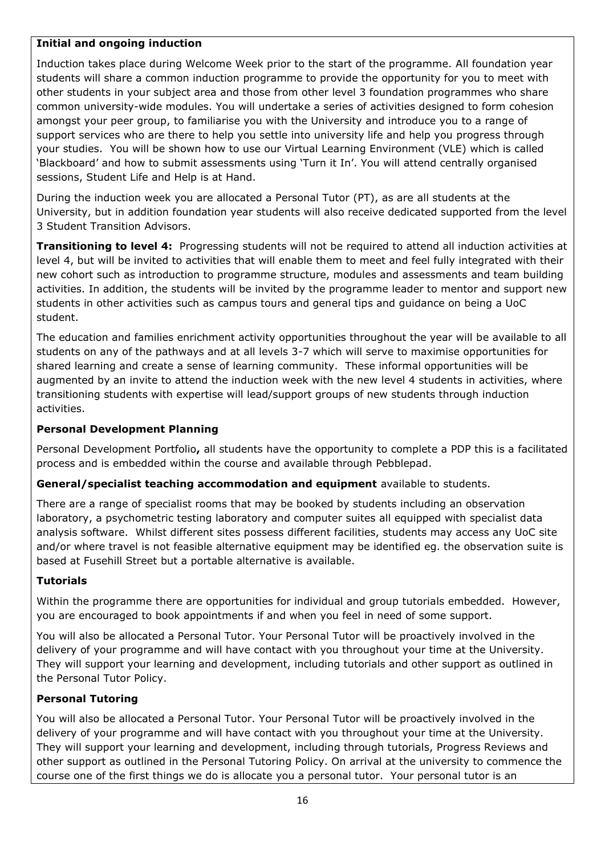#### **Initial and ongoing induction**

Induction takes place during Welcome Week prior to the start of the programme. All foundation year students will share a common induction programme to provide the opportunity for you to meet with other students in your subject area and those from other level 3 foundation programmes who share common university-wide modules. You will undertake a series of activities designed to form cohesion amongst your peer group, to familiarise you with the University and introduce you to a range of support services who are there to help you settle into university life and help you progress through your studies. You will be shown how to use our Virtual Learning Environment (VLE) which is called 'Blackboard' and how to submit assessments using 'Turn it In'. You will attend centrally organised sessions, Student Life and Help is at Hand.

During the induction week you are allocated a Personal Tutor (PT), as are all students at the University, but in addition foundation year students will also receive dedicated supported from the level 3 Student Transition Advisors.

**Transitioning to level 4:** Progressing students will not be required to attend all induction activities at level 4, but will be invited to activities that will enable them to meet and feel fully integrated with their new cohort such as introduction to programme structure, modules and assessments and team building activities. In addition, the students will be invited by the programme leader to mentor and support new students in other activities such as campus tours and general tips and guidance on being a UoC student.

The education and families enrichment activity opportunities throughout the year will be available to all students on any of the pathways and at all levels 3-7 which will serve to maximise opportunities for shared learning and create a sense of learning community. These informal opportunities will be augmented by an invite to attend the induction week with the new level 4 students in activities, where transitioning students with expertise will lead/support groups of new students through induction activities.

#### **Personal Development Planning**

Personal Development Portfolio**,** all students have the opportunity to complete a PDP this is a facilitated process and is embedded within the course and available through Pebblepad.

#### **General/specialist teaching accommodation and equipment** available to students.

There are a range of specialist rooms that may be booked by students including an observation laboratory, a psychometric testing laboratory and computer suites all equipped with specialist data analysis software. Whilst different sites possess different facilities, students may access any UoC site and/or where travel is not feasible alternative equipment may be identified eg. the observation suite is based at Fusehill Street but a portable alternative is available.

#### **Tutorials**

Within the programme there are opportunities for individual and group tutorials embedded. However, you are encouraged to book appointments if and when you feel in need of some support.

You will also be allocated a Personal Tutor. Your Personal Tutor will be proactively involved in the delivery of your programme and will have contact with you throughout your time at the University. They will support your learning and development, including tutorials and other support as outlined in the Personal Tutor Policy.

#### **Personal Tutoring**

You will also be allocated a Personal Tutor. Your Personal Tutor will be proactively involved in the delivery of your programme and will have contact with you throughout your time at the University. They will support your learning and development, including through tutorials, Progress Reviews and other support as outlined in the Personal Tutoring Policy. On arrival at the university to commence the course one of the first things we do is allocate you a personal tutor. Your personal tutor is an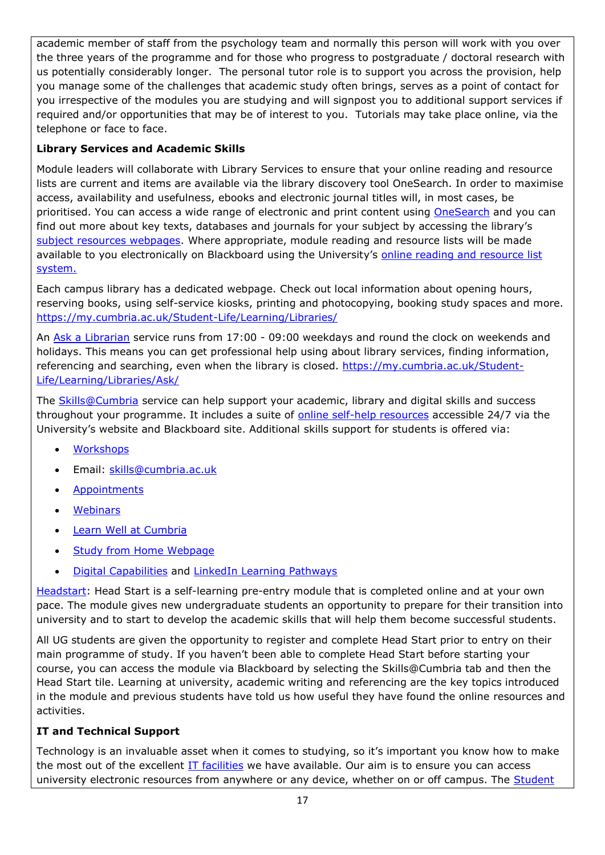academic member of staff from the psychology team and normally this person will work with you over the three years of the programme and for those who progress to postgraduate / doctoral research with us potentially considerably longer. The personal tutor role is to support you across the provision, help you manage some of the challenges that academic study often brings, serves as a point of contact for you irrespective of the modules you are studying and will signpost you to additional support services if required and/or opportunities that may be of interest to you. Tutorials may take place online, via the telephone or face to face.

# **Library Services and Academic Skills**

Module leaders will collaborate with Library Services to ensure that your online reading and resource lists are current and items are available via the library discovery tool OneSearch. In order to maximise access, availability and usefulness, ebooks and electronic journal titles will, in most cases, be prioritised. You can access a wide range of electronic and print content using [OneSearch](http://cumbria-primo.hosted.exlibrisgroup.com/primo_library/libweb/action/search.do?vid=44UOC_VU1) and you can find out more about key texts, databases and journals for your subject by accessing the library's [subject resources webpages.](http://my.cumbria.ac.uk/StudentLife/Learning/Resources/Subjects/Home.aspx) Where appropriate, module reading and resource lists will be made available to you electronically on Blackboard using the University's online reading and resource list [system.](https://eu.alma.exlibrisgroup.com/leganto/readinglist/lists)

Each campus library has a dedicated webpage. Check out local information about opening hours, reserving books, using self-service kiosks, printing and photocopying, booking study spaces and more. <https://my.cumbria.ac.uk/Student-Life/Learning/Libraries/>

An [Ask a Librarian](https://my.cumbria.ac.uk/Student-Life/Learning/Libraries/Ask/) service runs from 17:00 - 09:00 weekdays and round the clock on weekends and holidays. This means you can get professional help using about library services, finding information, referencing and searching, even when the library is closed. [https://my.cumbria.ac.uk/Student-](https://my.cumbria.ac.uk/Student-Life/Learning/Libraries/Ask/)[Life/Learning/Libraries/Ask/](https://my.cumbria.ac.uk/Student-Life/Learning/Libraries/Ask/)

The **Skills@Cumbria** service can help support your academic, library and digital skills and success throughout your programme. It includes a suite of [online self-help resources](https://my.cumbria.ac.uk/Student-Life/Learning/Skills-Cumbria/) accessible 24/7 via the University's website and Blackboard site. Additional skills support for students is offered via:

- **[Workshops](https://my.cumbria.ac.uk/Student-Life/Learning/Skills-Cumbria/Need-more-help/)**
- Email: [skills@cumbria.ac.uk](mailto:skills@cumbria.ac.uk)
- **[Appointments](https://my.cumbria.ac.uk/Student-Life/Learning/Skills-Cumbria/Need-more-help/)**
- **[Webinars](https://my.cumbria.ac.uk/Student-Life/Learning/Skills-Cumbria/Need-more-help/)**
- [Learn Well at Cumbria](https://my.cumbria.ac.uk/Student-Life/Learning/Skills-Cumbria/Learn-Well-at-Cumbria/)
- [Study from Home Webpage](https://my.cumbria.ac.uk/Student-Life/Learning/Resources/Studying-from-home/)
- [Digital Capabilities](https://my.cumbria.ac.uk/Digital-Capability/) and [LinkedIn Learning Pathways](https://my.cumbria.ac.uk/Student-Life/Learning/Linkedin-Learning/Digital-Capabilities-Pathways/)

[Headstart:](https://my.cumbria.ac.uk/Student-Life/Learning/Resources/Blackboard-Open-Education/) Head Start is a self-learning pre-entry module that is completed online and at your own pace. The module gives new undergraduate students an opportunity to prepare for their transition into university and to start to develop the academic skills that will help them become successful students.

All UG students are given the opportunity to register and complete Head Start prior to entry on their main programme of study. If you haven't been able to complete Head Start before starting your course, you can access the module via Blackboard by selecting the Skills@Cumbria tab and then the Head Start tile. Learning at university, academic writing and referencing are the key topics introduced in the module and previous students have told us how useful they have found the online resources and activities.

#### **IT and Technical Support**

Technology is an invaluable asset when it comes to studying, so it's important you know how to make the most out of the excellent [IT facilities](https://www.cumbria.ac.uk/student-life/facilities/it-facilities/) we have available. Our aim is to ensure you can access university electronic resources from anywhere or any device, whether on or off campus. The **Student**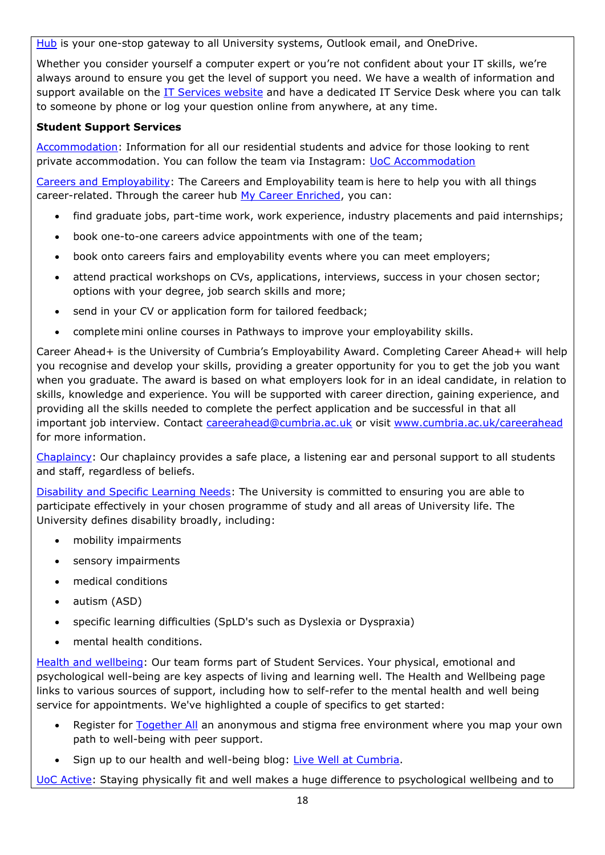[Hub](https://hub.cumbria.ac.uk/dashboard/student) is your one-stop gateway to all University systems, Outlook email, and OneDrive.

Whether you consider yourself a computer expert or you're not confident about your IT skills, we're always around to ensure you get the level of support you need. We have a wealth of information and support available on the [IT Services website](https://my.cumbria.ac.uk/Student-Life/it-media/) and have a dedicated IT Service Desk where you can talk to someone by phone or log your question online from anywhere, at any time.

#### **Student Support Services**

[Accommodation:](https://www.cumbria.ac.uk/student-life/accommodation/) Information for all our residential students and advice for those looking to rent private accommodation. You can follow the team via Instagram: [UoC Accommodation](https://my.cumbria.ac.uk/Student-Life/careers/Current-Students/)

[Careers and Employability:](https://my.cumbria.ac.uk/Student-Life/careers/) The Careers and Employability team is here to help you with all things career-related. Through the career hub [My Career Enriched,](https://mycareerenriched.cumbria.ac.uk/student/home.html) you can:

- find graduate jobs, part-time work, work experience, industry placements and paid internships;
- book one-to-one careers advice appointments with one of the team;
- book onto careers fairs and employability events where you can meet employers;
- attend practical workshops on CVs, applications, interviews, success in your chosen sector; options with your degree, job search skills and more;
- send in your CV or application form for tailored feedback;
- complete mini online courses in Pathways to improve your employability skills.

Career Ahead+ is the University of Cumbria's Employability Award. Completing Career Ahead+ will help you recognise and develop your skills, providing a greater opportunity for you to get the job you want when you graduate. The award is based on what employers look for in an ideal candidate, in relation to skills, knowledge and experience. You will be supported with career direction, gaining experience, and providing all the skills needed to complete the perfect application and be successful in that all important job interview. Contact [careerahead@cumbria.ac.uk](mailto:careerahead@cumbria.ac.uk) or visit [www.cumbria.ac.uk/careerahead](http://www.cumbria.ac.uk/careerahead) for more information.

[Chaplaincy:](https://www.cumbria.ac.uk/student-life/student-support/chaplaincy/) Our chaplaincy provides a safe place, a listening ear and personal support to all students and staff, regardless of beliefs.

[Disability and Specific Learning Needs:](https://my.cumbria.ac.uk/Student-Life/Support/Disability/) The University is committed to ensuring you are able to participate effectively in your chosen programme of study and all areas of University life. The University defines disability broadly, including:

- mobility impairments
- sensory impairments
- medical conditions
- autism (ASD)
- specific learning difficulties (SpLD's such as Dyslexia or Dyspraxia)
- mental health conditions.

[Health and wellbeing:](https://my.cumbria.ac.uk/Student-Life/Health-and-Wellbeing/) Our team forms part of Student Services. Your physical, emotional and psychological well-being are key aspects of living and learning well. The Health and Wellbeing page links to various sources of support, including how to self-refer to the mental health and well being service for appointments. We've highlighted a couple of specifics to get started:

- Register for [Together All](https://my.cumbria.ac.uk/Student-Life/Health-and-Wellbeing/Big-White-Wall/) an anonymous and stigma free environment where you map your own path to well-being with peer support.
- Sign up to our health and well-being blog: [Live Well at](https://livewellcumbriaunihome.wordpress.com/) Cumbria.

[UoC Active:](https://www.cumbria.ac.uk/student-life/facilities/sports/) Staying physically fit and well makes a huge difference to psychological wellbeing and to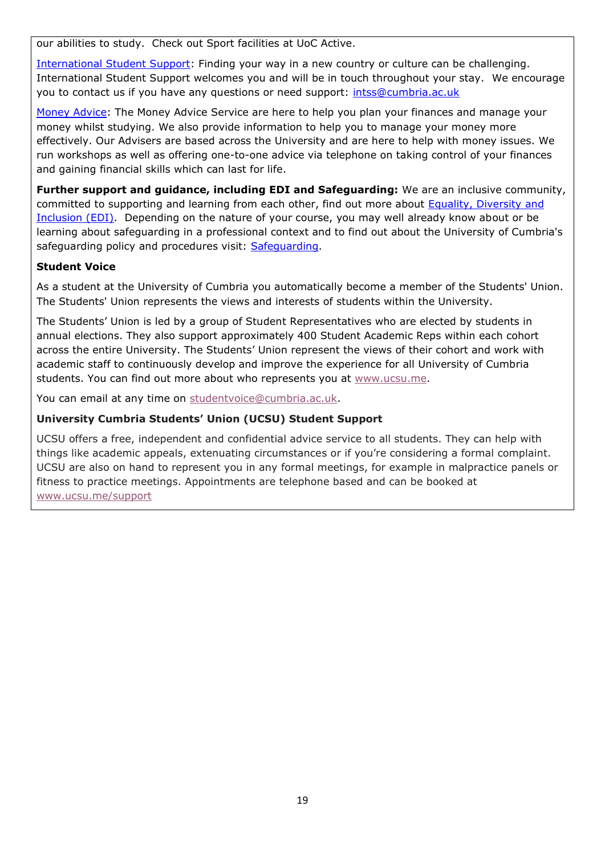our abilities to study. Check out Sport facilities at UoC Active.

[International Student Support:](https://www.cumbria.ac.uk/study/international-students/) Finding your way in a new country or culture can be challenging. International Student Support welcomes you and will be in touch throughout your stay. We encourage you to contact us if you have any questions or need support: [intss@cumbria.ac.uk](mailto:intss@cumbria.ac.uk)

[Money Advice:](https://my.cumbria.ac.uk/Student-Life/Money--Finance/Money-Doctors/) The Money Advice Service are here to help you plan your finances and manage your money whilst studying. We also provide information to help you to manage your money more effectively. Our Advisers are based across the University and are here to help with money issues. We run workshops as well as offering one-to-one advice via telephone on taking control of your finances and gaining financial skills which can last for life.

**Further support and guidance, including EDI and Safeguarding:** We are an inclusive community, committed to supporting and learning from each other, find out more about **Equality**, Diversity and [Inclusion \(EDI\).](https://www.cumbria.ac.uk/about/equality-diversity-and-inclusion/) Depending on the nature of your course, you may well already know about or be learning about safeguarding in a professional context and to find out about the University of Cumbria's safeguarding policy and procedures visit: [Safeguarding.](https://my.cumbria.ac.uk/Student-Life/Health-and-Wellbeing/Safeguarding/)

#### **Student Voice**

As a student at the University of Cumbria you automatically become a member of the Students' Union. The Students' Union represents the views and interests of students within the University.

The Students' Union is led by a group of Student Representatives who are elected by students in annual elections. They also support approximately 400 Student Academic Reps within each cohort across the entire University. The Students' Union represent the views of their cohort and work with academic staff to continuously develop and improve the experience for all University of Cumbria students. You can find out more about who represents you at [www.ucsu.me.](https://eur03.safelinks.protection.outlook.com/?url=http%3A%2F%2Fwww.ucsu.me%2F&data=01%7C01%7Calice.helm-alabaster%40cumbria.ac.uk%7C6f2148044d5b440a812f08d85fdaa95f%7Cb627db1d99584fd18ea48ac3b27cf00f%7C0&sdata=2TIr5uuU03XI6fpVrQqHeDUSuUkWECNvQ3UldWmClyg%3D&reserved=0)

You can email at any time on [studentvoice@cumbria.ac.uk.](mailto:studentvoice@cumbria.ac.uk)

#### **University Cumbria Students' Union (UCSU) Student Support**

UCSU offers a free, independent and confidential advice service to all students. They can help with things like academic appeals, extenuating circumstances or if you're considering a formal complaint. UCSU are also on hand to represent you in any formal meetings, for example in malpractice panels or fitness to practice meetings. Appointments are telephone based and can be booked at [www.ucsu.me/support](https://eur03.safelinks.protection.outlook.com/?url=http%3A%2F%2Fwww.ucsu.me%2Fsupport&data=01%7C01%7Calice.helm-alabaster%40cumbria.ac.uk%7C6f2148044d5b440a812f08d85fdaa95f%7Cb627db1d99584fd18ea48ac3b27cf00f%7C0&sdata=QO0AnE5mLJVI%2BvxaFzasbJsexArbF2oWRbpNi9IBt4E%3D&reserved=0)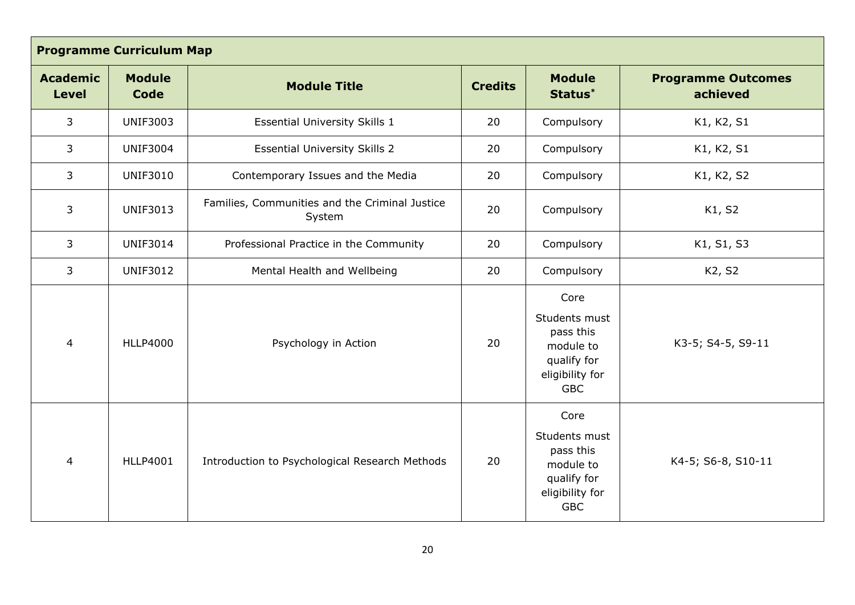| <b>Programme Curriculum Map</b> |                                                           |                                                          |                |                                                                                                 |                                       |  |
|---------------------------------|-----------------------------------------------------------|----------------------------------------------------------|----------------|-------------------------------------------------------------------------------------------------|---------------------------------------|--|
| <b>Academic</b><br><b>Level</b> | <b>Module</b><br>Code                                     | <b>Module Title</b>                                      | <b>Credits</b> | <b>Module</b><br>Status*                                                                        | <b>Programme Outcomes</b><br>achieved |  |
| 3                               | <b>UNIF3003</b>                                           | <b>Essential University Skills 1</b>                     | 20             | Compulsory                                                                                      | K1, K2, S1                            |  |
| 3                               | <b>UNIF3004</b>                                           | <b>Essential University Skills 2</b>                     | 20             | Compulsory                                                                                      | K1, K2, S1                            |  |
| 3                               | <b>UNIF3010</b>                                           | Contemporary Issues and the Media                        | 20             | Compulsory                                                                                      | K1, K2, S2                            |  |
| 3                               | <b>UNIF3013</b>                                           | Families, Communities and the Criminal Justice<br>System |                | Compulsory                                                                                      | K1, S2                                |  |
| 3                               | <b>UNIF3014</b><br>Professional Practice in the Community |                                                          | 20             | Compulsory                                                                                      | K1, S1, S3                            |  |
| 3                               | <b>UNIF3012</b>                                           | Mental Health and Wellbeing                              | 20             | Compulsory                                                                                      | K2, S2                                |  |
| $\overline{4}$                  | <b>HLLP4000</b>                                           | Psychology in Action                                     | 20             | Core<br>Students must<br>pass this<br>module to<br>qualify for<br>eligibility for<br><b>GBC</b> | K3-5; S4-5, S9-11                     |  |
| $\overline{4}$                  | <b>HLLP4001</b>                                           | Introduction to Psychological Research Methods           | 20             | Core<br>Students must<br>pass this<br>module to<br>qualify for<br>eligibility for<br><b>GBC</b> | K4-5; S6-8, S10-11                    |  |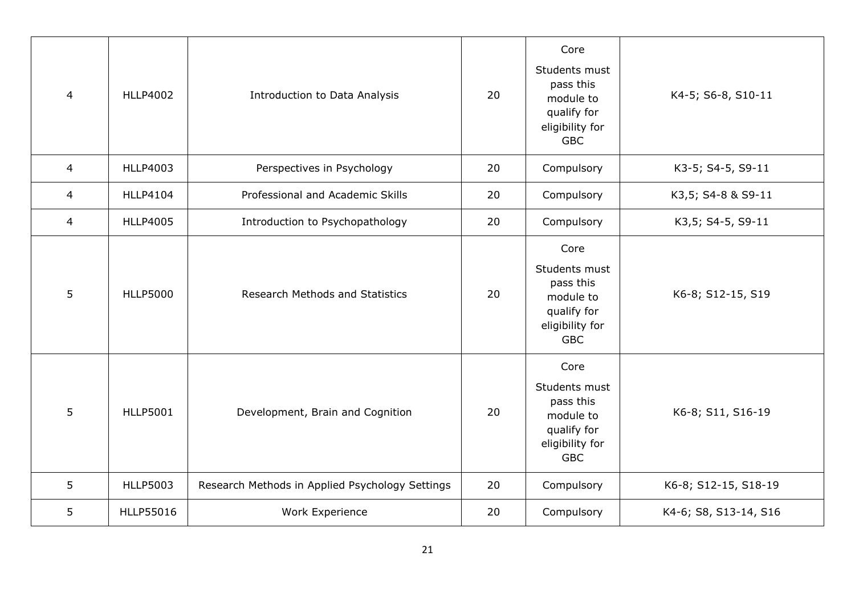| $\overline{4}$ | <b>HLLP4002</b> | <b>Introduction to Data Analysis</b>            | 20 | Core<br>Students must<br>pass this<br>module to<br>qualify for<br>eligibility for<br><b>GBC</b> | K4-5; S6-8, S10-11    |
|----------------|-----------------|-------------------------------------------------|----|-------------------------------------------------------------------------------------------------|-----------------------|
| $\overline{4}$ | <b>HLLP4003</b> | Perspectives in Psychology                      | 20 | Compulsory                                                                                      | K3-5; S4-5, S9-11     |
| 4              | <b>HLLP4104</b> | Professional and Academic Skills                | 20 | Compulsory                                                                                      | K3,5; S4-8 & S9-11    |
| $\overline{4}$ | <b>HLLP4005</b> | Introduction to Psychopathology                 | 20 | Compulsory                                                                                      | K3,5; S4-5, S9-11     |
| 5              | <b>HLLP5000</b> | <b>Research Methods and Statistics</b>          | 20 | Core<br>Students must<br>pass this<br>module to<br>qualify for<br>eligibility for<br><b>GBC</b> | K6-8; S12-15, S19     |
| 5              | <b>HLLP5001</b> | Development, Brain and Cognition                | 20 | Core<br>Students must<br>pass this<br>module to<br>qualify for<br>eligibility for<br><b>GBC</b> | K6-8; S11, S16-19     |
| 5              | <b>HLLP5003</b> | Research Methods in Applied Psychology Settings | 20 | Compulsory                                                                                      | K6-8; S12-15, S18-19  |
| 5              | HLLP55016       | Work Experience                                 | 20 | Compulsory                                                                                      | K4-6; S8, S13-14, S16 |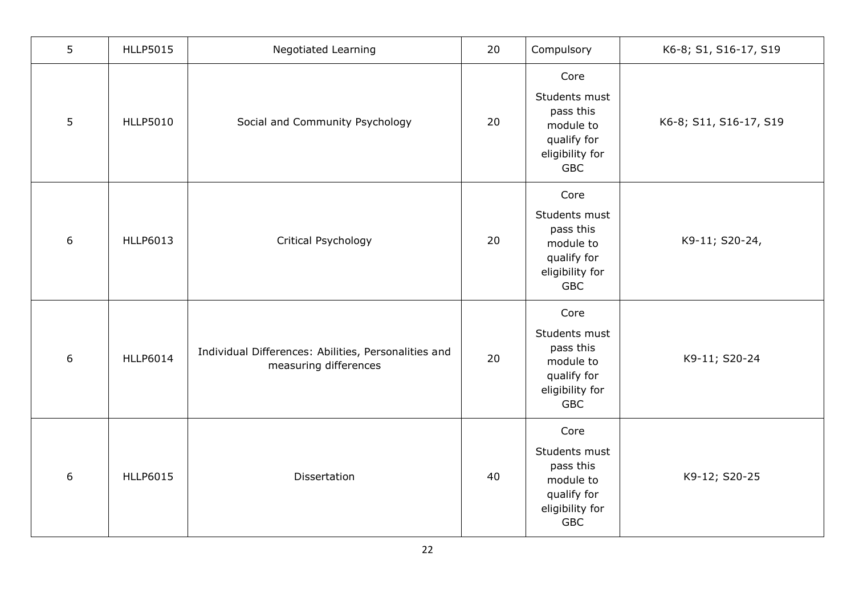| 5              | <b>HLLP5015</b> | <b>Negotiated Learning</b>                                                    | 20 | Compulsory                                                                                      | K6-8; S1, S16-17, S19  |
|----------------|-----------------|-------------------------------------------------------------------------------|----|-------------------------------------------------------------------------------------------------|------------------------|
| $5\phantom{.}$ | <b>HLLP5010</b> | Social and Community Psychology                                               | 20 | Core<br>Students must<br>pass this<br>module to<br>qualify for<br>eligibility for<br><b>GBC</b> | K6-8; S11, S16-17, S19 |
| 6              | <b>HLLP6013</b> | Critical Psychology                                                           | 20 | Core<br>Students must<br>pass this<br>module to<br>qualify for<br>eligibility for<br><b>GBC</b> | K9-11; S20-24,         |
| 6              | <b>HLLP6014</b> | Individual Differences: Abilities, Personalities and<br>measuring differences | 20 | Core<br>Students must<br>pass this<br>module to<br>qualify for<br>eligibility for<br><b>GBC</b> | K9-11; S20-24          |
| 6              | <b>HLLP6015</b> | Dissertation                                                                  | 40 | Core<br>Students must<br>pass this<br>module to<br>qualify for<br>eligibility for<br><b>GBC</b> | K9-12; S20-25          |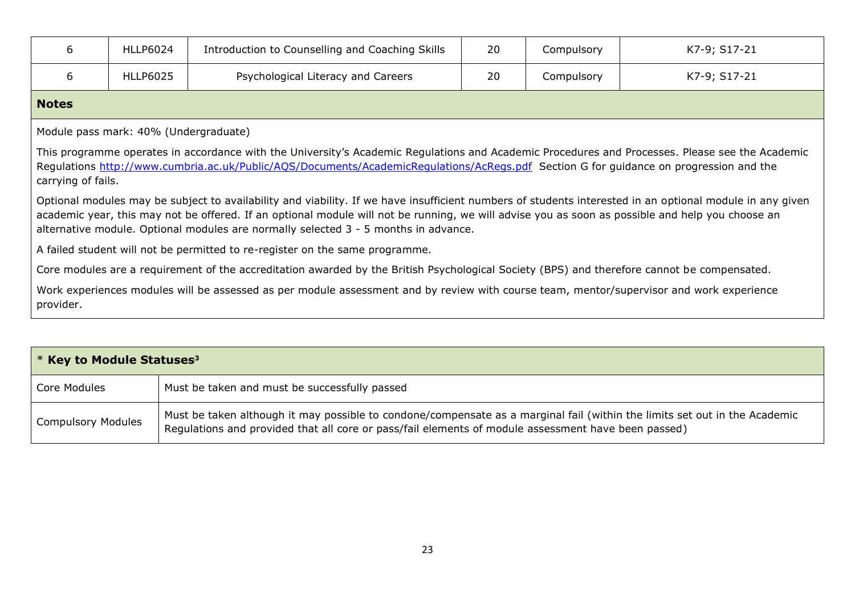| 6                                                                                                                                                                                                                                                                                                                                                                                                   | <b>HLLP6024</b>                                                                                                                             | Introduction to Counselling and Coaching Skills                                                                                                                                                                                                                                           | 20 | Compulsory | K7-9; S17-21 |  |
|-----------------------------------------------------------------------------------------------------------------------------------------------------------------------------------------------------------------------------------------------------------------------------------------------------------------------------------------------------------------------------------------------------|---------------------------------------------------------------------------------------------------------------------------------------------|-------------------------------------------------------------------------------------------------------------------------------------------------------------------------------------------------------------------------------------------------------------------------------------------|----|------------|--------------|--|
| 6                                                                                                                                                                                                                                                                                                                                                                                                   | <b>HLLP6025</b>                                                                                                                             | Psychological Literacy and Careers                                                                                                                                                                                                                                                        | 20 | Compulsory | K7-9; S17-21 |  |
| <b>Notes</b>                                                                                                                                                                                                                                                                                                                                                                                        |                                                                                                                                             |                                                                                                                                                                                                                                                                                           |    |            |              |  |
|                                                                                                                                                                                                                                                                                                                                                                                                     | Module pass mark: 40% (Undergraduate)                                                                                                       |                                                                                                                                                                                                                                                                                           |    |            |              |  |
| carrying of fails.                                                                                                                                                                                                                                                                                                                                                                                  |                                                                                                                                             | This programme operates in accordance with the University's Academic Regulations and Academic Procedures and Processes. Please see the Academic<br>Regulations http://www.cumbria.ac.uk/Public/AQS/Documents/AcademicRegulations/AcRegs.pdf Section G for guidance on progression and the |    |            |              |  |
| Optional modules may be subject to availability and viability. If we have insufficient numbers of students interested in an optional module in any given<br>academic year, this may not be offered. If an optional module will not be running, we will advise you as soon as possible and help you choose an<br>alternative module. Optional modules are normally selected 3 - 5 months in advance. |                                                                                                                                             |                                                                                                                                                                                                                                                                                           |    |            |              |  |
|                                                                                                                                                                                                                                                                                                                                                                                                     |                                                                                                                                             | A failed student will not be permitted to re-register on the same programme.                                                                                                                                                                                                              |    |            |              |  |
|                                                                                                                                                                                                                                                                                                                                                                                                     | Core modules are a requirement of the accreditation awarded by the British Psychological Society (BPS) and therefore cannot be compensated. |                                                                                                                                                                                                                                                                                           |    |            |              |  |
| Work experiences modules will be assessed as per module assessment and by review with course team, mentor/supervisor and work experience<br>provider.                                                                                                                                                                                                                                               |                                                                                                                                             |                                                                                                                                                                                                                                                                                           |    |            |              |  |
|                                                                                                                                                                                                                                                                                                                                                                                                     |                                                                                                                                             |                                                                                                                                                                                                                                                                                           |    |            |              |  |
| * Key to Module Statuses <sup>3</sup>                                                                                                                                                                                                                                                                                                                                                               |                                                                                                                                             |                                                                                                                                                                                                                                                                                           |    |            |              |  |

| Core Modules              | Must be taken and must be successfully passed                                                                                                                                                                                     |
|---------------------------|-----------------------------------------------------------------------------------------------------------------------------------------------------------------------------------------------------------------------------------|
| <b>Compulsory Modules</b> | Must be taken although it may possible to condone/compensate as a marginal fail (within the limits set out in the Academic<br>Regulations and provided that all core or pass/fail elements of module assessment have been passed) |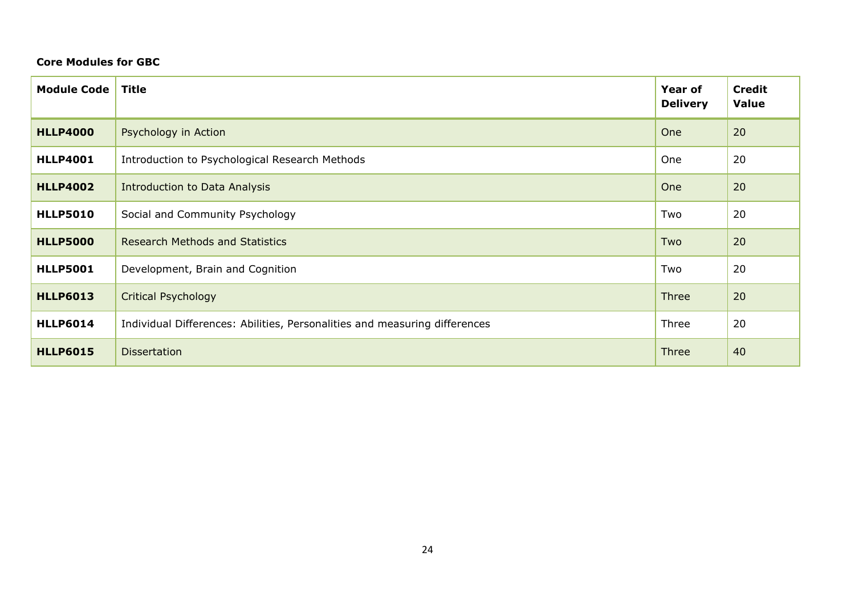#### **Core Modules for GBC**

| <b>Module Code</b> | <b>Title</b>                                                               | <b>Year of</b><br><b>Delivery</b> | <b>Credit</b><br><b>Value</b> |
|--------------------|----------------------------------------------------------------------------|-----------------------------------|-------------------------------|
| <b>HLLP4000</b>    | Psychology in Action                                                       | One                               | 20                            |
| <b>HLLP4001</b>    | Introduction to Psychological Research Methods                             | One                               | 20                            |
| <b>HLLP4002</b>    | <b>Introduction to Data Analysis</b>                                       | One                               | 20                            |
| <b>HLLP5010</b>    | Social and Community Psychology                                            | Two                               | 20                            |
| <b>HLLP5000</b>    | <b>Research Methods and Statistics</b>                                     | Two                               | 20                            |
| <b>HLLP5001</b>    | Development, Brain and Cognition                                           | Two                               | 20                            |
| <b>HLLP6013</b>    | <b>Critical Psychology</b>                                                 | Three                             | 20                            |
| <b>HLLP6014</b>    | Individual Differences: Abilities, Personalities and measuring differences | Three                             | 20                            |
| <b>HLLP6015</b>    | <b>Dissertation</b>                                                        | Three                             | 40                            |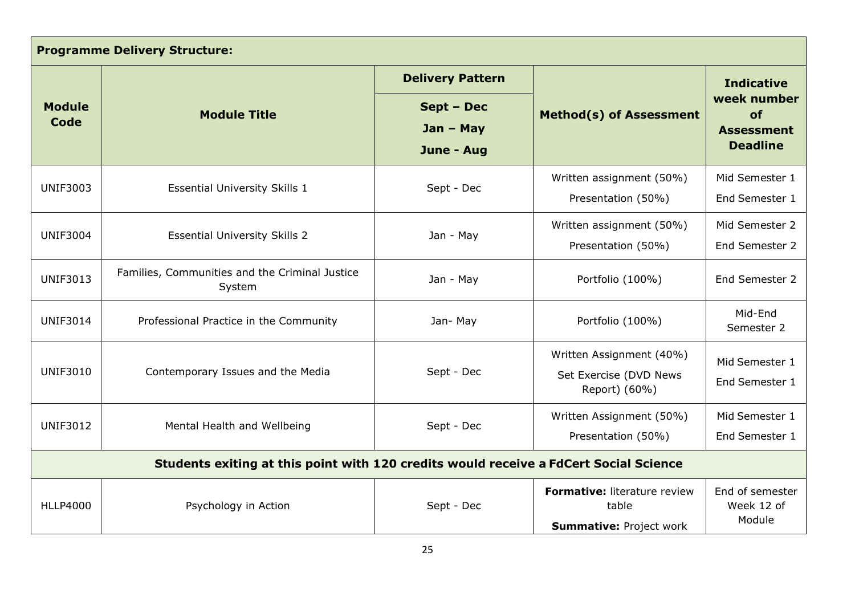| <b>Programme Delivery Structure:</b> |                                                                                       |                         |                                                                         |                                                           |  |  |
|--------------------------------------|---------------------------------------------------------------------------------------|-------------------------|-------------------------------------------------------------------------|-----------------------------------------------------------|--|--|
|                                      |                                                                                       | <b>Delivery Pattern</b> |                                                                         | <b>Indicative</b>                                         |  |  |
| <b>Module</b><br>Code                | Sept - Dec<br><b>Module Title</b><br>$Jan - May$<br>June - Aug                        |                         | <b>Method(s) of Assessment</b>                                          | week number<br>of<br><b>Assessment</b><br><b>Deadline</b> |  |  |
| <b>UNIF3003</b>                      | <b>Essential University Skills 1</b>                                                  | Sept - Dec              | Written assignment (50%)<br>Presentation (50%)                          | Mid Semester 1<br>End Semester 1                          |  |  |
| <b>UNIF3004</b>                      | <b>Essential University Skills 2</b>                                                  | Jan - May               | Written assignment (50%)<br>Presentation (50%)                          | Mid Semester 2<br>End Semester 2                          |  |  |
| <b>UNIF3013</b>                      | Families, Communities and the Criminal Justice<br>System                              | Jan - May               | Portfolio (100%)                                                        | End Semester 2                                            |  |  |
| <b>UNIF3014</b>                      | Professional Practice in the Community                                                | Jan-May                 | Portfolio (100%)                                                        | Mid-End<br>Semester 2                                     |  |  |
| <b>UNIF3010</b>                      | Contemporary Issues and the Media                                                     | Sept - Dec              | Written Assignment (40%)<br>Set Exercise (DVD News<br>Report) (60%)     | Mid Semester 1<br>End Semester 1                          |  |  |
| <b>UNIF3012</b>                      | Mental Health and Wellbeing                                                           | Sept - Dec              | Written Assignment (50%)<br>Presentation (50%)                          | Mid Semester 1<br>End Semester 1                          |  |  |
|                                      | Students exiting at this point with 120 credits would receive a FdCert Social Science |                         |                                                                         |                                                           |  |  |
| <b>HLLP4000</b>                      | Psychology in Action                                                                  | Sept - Dec              | Formative: literature review<br>table<br><b>Summative: Project work</b> | End of semester<br>Week 12 of<br>Module                   |  |  |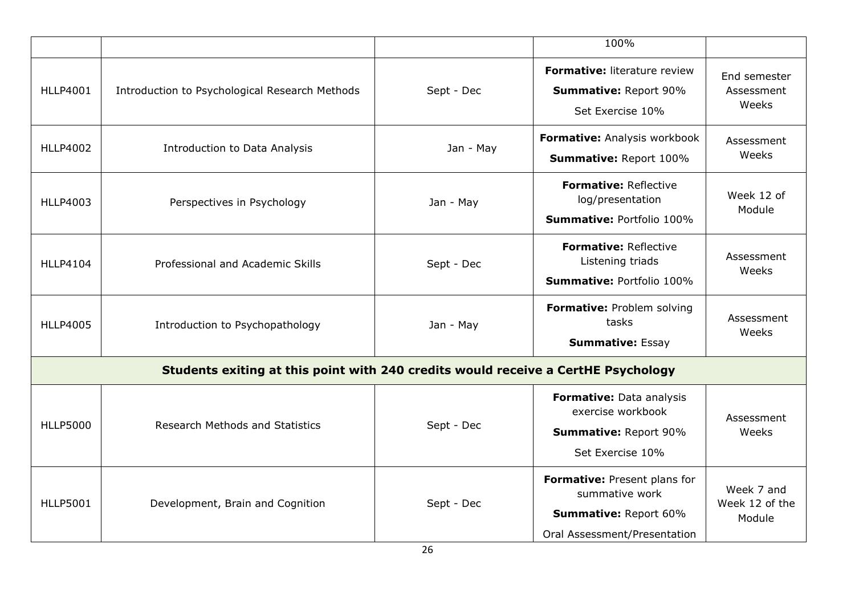|                 |                                                                                   |            | 100%                                                                                                           |                                        |
|-----------------|-----------------------------------------------------------------------------------|------------|----------------------------------------------------------------------------------------------------------------|----------------------------------------|
| <b>HLLP4001</b> | Introduction to Psychological Research Methods                                    | Sept - Dec | <b>Formative: literature review</b><br><b>Summative: Report 90%</b><br>Set Exercise 10%                        | End semester<br>Assessment<br>Weeks    |
| <b>HLLP4002</b> | Introduction to Data Analysis                                                     | Jan - May  | Formative: Analysis workbook<br>Summative: Report 100%                                                         | Assessment<br>Weeks                    |
| <b>HLLP4003</b> | Perspectives in Psychology                                                        | Jan - May  | <b>Formative: Reflective</b><br>log/presentation<br>Summative: Portfolio 100%                                  | Week 12 of<br>Module                   |
| <b>HLLP4104</b> | Professional and Academic Skills                                                  | Sept - Dec | Formative: Reflective<br>Listening triads<br><b>Summative: Portfolio 100%</b>                                  | Assessment<br>Weeks                    |
| <b>HLLP4005</b> | Introduction to Psychopathology                                                   | Jan - May  | Formative: Problem solving<br>tasks<br><b>Summative: Essay</b>                                                 | Assessment<br>Weeks                    |
|                 | Students exiting at this point with 240 credits would receive a CertHE Psychology |            |                                                                                                                |                                        |
| <b>HLLP5000</b> | <b>Research Methods and Statistics</b>                                            | Sept - Dec | Formative: Data analysis<br>exercise workbook<br><b>Summative: Report 90%</b><br>Set Exercise 10%              | Assessment<br>Weeks                    |
| <b>HLLP5001</b> | Development, Brain and Cognition                                                  | Sept - Dec | Formative: Present plans for<br>summative work<br><b>Summative: Report 60%</b><br>Oral Assessment/Presentation | Week 7 and<br>Week 12 of the<br>Module |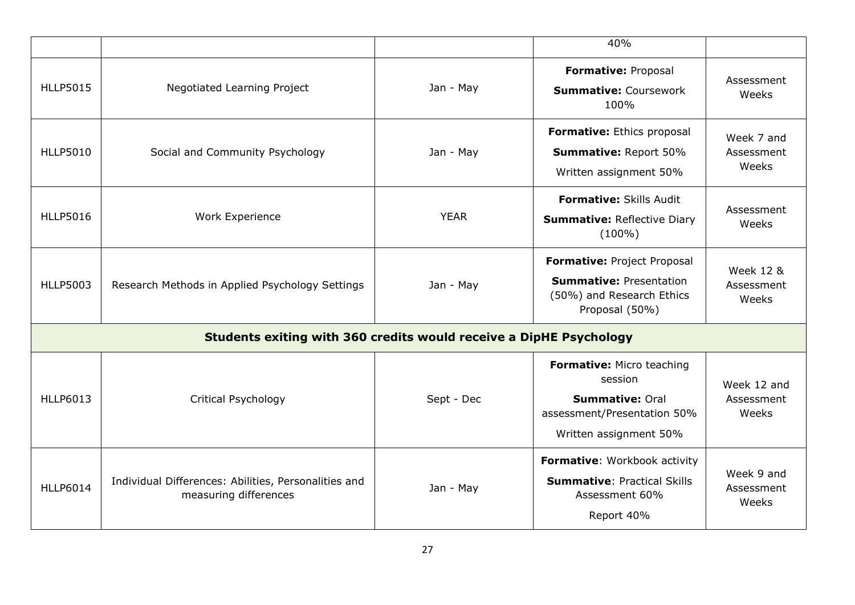|                 |                                                                               |             | 40%                                                                                                                     |                                             |
|-----------------|-------------------------------------------------------------------------------|-------------|-------------------------------------------------------------------------------------------------------------------------|---------------------------------------------|
| <b>HLLP5015</b> | Negotiated Learning Project                                                   | Jan - May   | Formative: Proposal<br><b>Summative: Coursework</b><br>100%                                                             | Assessment<br>Weeks                         |
| <b>HLLP5010</b> | Social and Community Psychology                                               | Jan - May   | Formative: Ethics proposal<br><b>Summative: Report 50%</b><br>Written assignment 50%                                    | Week 7 and<br>Assessment<br>Weeks           |
| <b>HLLP5016</b> | Work Experience                                                               | <b>YEAR</b> | <b>Formative: Skills Audit</b><br><b>Summative: Reflective Diary</b><br>$(100\%)$                                       | Assessment<br>Weeks                         |
| <b>HLLP5003</b> | Research Methods in Applied Psychology Settings                               | Jan - May   | Formative: Project Proposal<br><b>Summative: Presentation</b><br>(50%) and Research Ethics<br>Proposal (50%)            | <b>Week 12 &amp;</b><br>Assessment<br>Weeks |
|                 | Students exiting with 360 credits would receive a DipHE Psychology            |             |                                                                                                                         |                                             |
| <b>HLLP6013</b> | Critical Psychology                                                           | Sept - Dec  | Formative: Micro teaching<br>session<br><b>Summative: Oral</b><br>assessment/Presentation 50%<br>Written assignment 50% | Week 12 and<br>Assessment<br>Weeks          |
| <b>HLLP6014</b> | Individual Differences: Abilities, Personalities and<br>measuring differences | Jan - May   | Formative: Workbook activity<br><b>Summative: Practical Skills</b><br>Assessment 60%<br>Report 40%                      | Week 9 and<br>Assessment<br>Weeks           |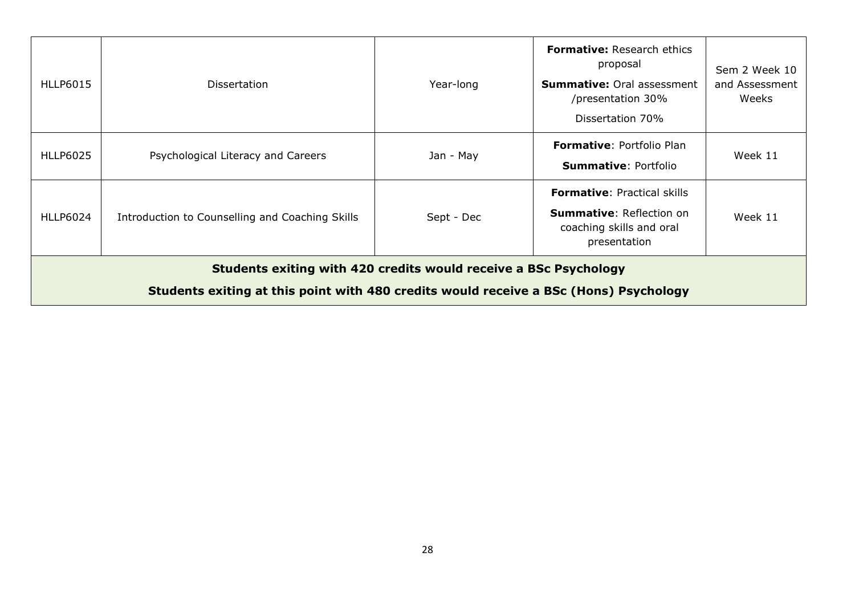| HLLP6015                                                                                                                                                  | <b>Dissertation</b>                             | Year-long  | <b>Formative: Research ethics</b><br>proposal<br><b>Summative: Oral assessment</b><br>/presentation 30%<br>Dissertation 70% | Sem 2 Week 10<br>and Assessment<br>Weeks |  |
|-----------------------------------------------------------------------------------------------------------------------------------------------------------|-------------------------------------------------|------------|-----------------------------------------------------------------------------------------------------------------------------|------------------------------------------|--|
| HLLP6025                                                                                                                                                  | Psychological Literacy and Careers              | Jan - May  | Formative: Portfolio Plan<br><b>Summative: Portfolio</b>                                                                    | Week 11                                  |  |
| HLLP6024                                                                                                                                                  | Introduction to Counselling and Coaching Skills | Sept - Dec | <b>Formative: Practical skills</b><br><b>Summative: Reflection on</b><br>coaching skills and oral<br>presentation           | Week 11                                  |  |
| Students exiting with 420 credits would receive a BSc Psychology<br>Students exiting at this point with 480 credits would receive a BSc (Hons) Psychology |                                                 |            |                                                                                                                             |                                          |  |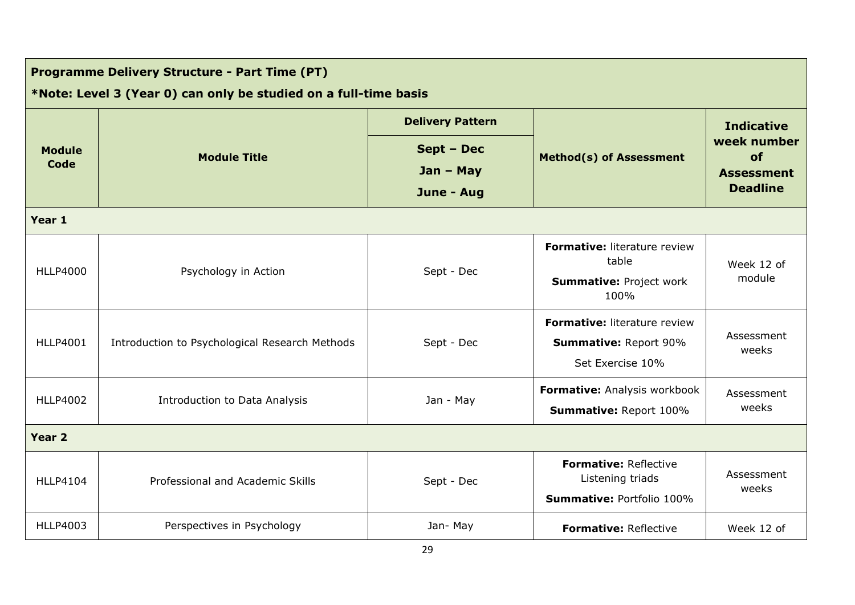| <b>Programme Delivery Structure - Part Time (PT)</b> |                                                                  |                         |                                                  |                                                                                |
|------------------------------------------------------|------------------------------------------------------------------|-------------------------|--------------------------------------------------|--------------------------------------------------------------------------------|
|                                                      | *Note: Level 3 (Year 0) can only be studied on a full-time basis |                         |                                                  |                                                                                |
| <b>Module</b><br>Code                                | <b>Module Title</b>                                              | <b>Delivery Pattern</b> |                                                  | <b>Indicative</b><br>week number<br>of<br><b>Assessment</b><br><b>Deadline</b> |
|                                                      |                                                                  | Sept - Dec              | <b>Method(s) of Assessment</b>                   |                                                                                |
|                                                      |                                                                  | $Jan - May$             |                                                  |                                                                                |
|                                                      |                                                                  | June - Aug              |                                                  |                                                                                |
| Year 1                                               |                                                                  |                         |                                                  |                                                                                |
| <b>HLLP4000</b>                                      | Psychology in Action                                             |                         | Formative: literature review<br>table            | Week 12 of                                                                     |
|                                                      |                                                                  | Sept - Dec              | <b>Summative: Project work</b><br>100%           | module                                                                         |
|                                                      | Introduction to Psychological Research Methods                   | Sept - Dec              | Formative: literature review                     | Assessment<br>weeks                                                            |
| <b>HLLP4001</b>                                      |                                                                  |                         | <b>Summative: Report 90%</b>                     |                                                                                |
|                                                      |                                                                  |                         | Set Exercise 10%                                 |                                                                                |
| <b>HLLP4002</b>                                      | Introduction to Data Analysis                                    | Jan - May               | Formative: Analysis workbook                     | Assessment<br>weeks                                                            |
|                                                      |                                                                  |                         | Summative: Report 100%                           |                                                                                |
| Year 2                                               |                                                                  |                         |                                                  |                                                                                |
| <b>HLLP4104</b>                                      | Professional and Academic Skills                                 | Sept - Dec              | <b>Formative: Reflective</b><br>Listening triads | Assessment<br>weeks                                                            |
|                                                      |                                                                  |                         | <b>Summative: Portfolio 100%</b>                 |                                                                                |
| <b>HLLP4003</b>                                      | Perspectives in Psychology                                       | Jan-May                 | <b>Formative: Reflective</b>                     | Week 12 of                                                                     |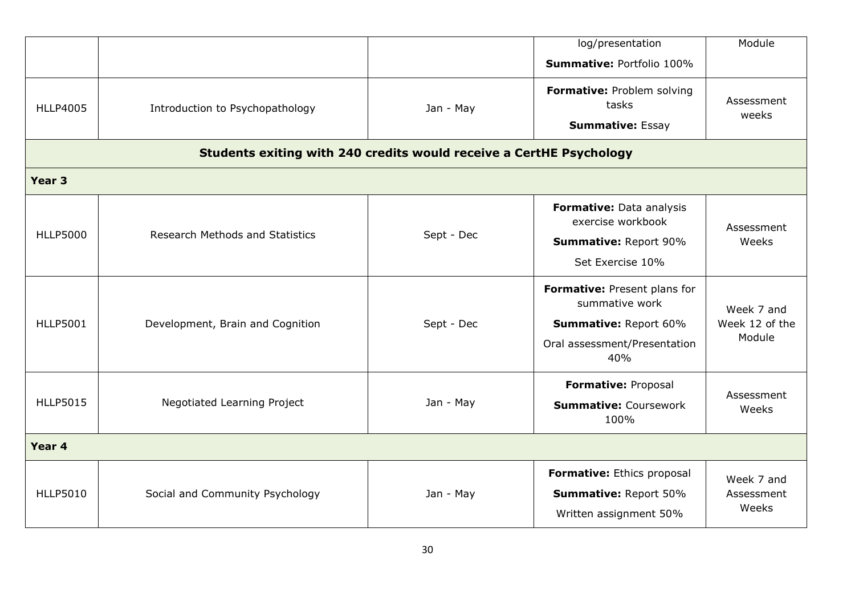|                   |                                                                     |                                                                          | log/presentation                                               | Module                                 |
|-------------------|---------------------------------------------------------------------|--------------------------------------------------------------------------|----------------------------------------------------------------|----------------------------------------|
|                   |                                                                     |                                                                          | <b>Summative: Portfolio 100%</b>                               |                                        |
| <b>HLLP4005</b>   | Introduction to Psychopathology                                     | Jan - May                                                                | Formative: Problem solving<br>tasks<br><b>Summative: Essay</b> | Assessment<br>weeks                    |
|                   | Students exiting with 240 credits would receive a CertHE Psychology |                                                                          |                                                                |                                        |
| Year <sub>3</sub> |                                                                     |                                                                          |                                                                |                                        |
|                   | <b>Research Methods and Statistics</b>                              |                                                                          | Formative: Data analysis<br>exercise workbook                  | Assessment                             |
| <b>HLLP5000</b>   |                                                                     | Sept - Dec                                                               | Weeks<br><b>Summative: Report 90%</b>                          |                                        |
|                   |                                                                     |                                                                          | Set Exercise 10%                                               |                                        |
|                   | Development, Brain and Cognition                                    | Sept - Dec                                                               | Formative: Present plans for<br>summative work                 | Week 7 and<br>Week 12 of the<br>Module |
| <b>HLLP5001</b>   |                                                                     |                                                                          | <b>Summative: Report 60%</b>                                   |                                        |
|                   |                                                                     |                                                                          | Oral assessment/Presentation<br>40%                            |                                        |
|                   | Negotiated Learning Project                                         | Formative: Proposal<br>Jan - May<br><b>Summative: Coursework</b><br>100% |                                                                |                                        |
| <b>HLLP5015</b>   |                                                                     |                                                                          | Assessment<br>Weeks                                            |                                        |
| Year 4            |                                                                     |                                                                          |                                                                |                                        |
| <b>HLLP5010</b>   | Social and Community Psychology                                     |                                                                          | Formative: Ethics proposal                                     | Week 7 and                             |
|                   |                                                                     | Jan - May                                                                | <b>Summative: Report 50%</b>                                   | Assessment                             |
|                   |                                                                     |                                                                          | Written assignment 50%                                         | Weeks                                  |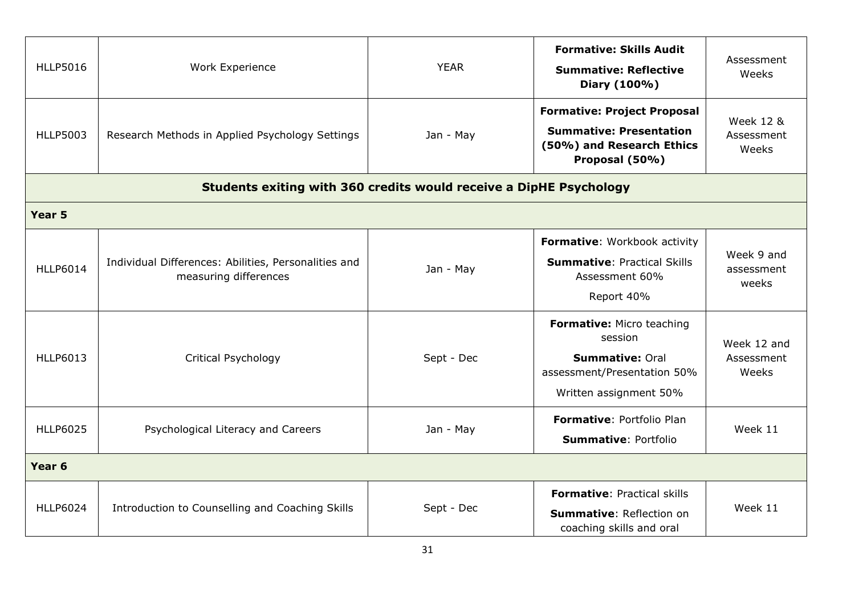| <b>HLLP5016</b><br><b>HLLP5003</b> | Work Experience<br>Research Methods in Applied Psychology Settings            | <b>YEAR</b><br>Jan - May | <b>Formative: Skills Audit</b><br><b>Summative: Reflective</b><br>Diary (100%)<br><b>Formative: Project Proposal</b><br><b>Summative: Presentation</b><br>(50%) and Research Ethics<br>Proposal (50%) | Assessment<br>Weeks<br><b>Week 12 &amp;</b><br>Assessment<br>Weeks |
|------------------------------------|-------------------------------------------------------------------------------|--------------------------|-------------------------------------------------------------------------------------------------------------------------------------------------------------------------------------------------------|--------------------------------------------------------------------|
|                                    | Students exiting with 360 credits would receive a DipHE Psychology            |                          |                                                                                                                                                                                                       |                                                                    |
| Year 5                             |                                                                               |                          |                                                                                                                                                                                                       |                                                                    |
| <b>HLLP6014</b>                    | Individual Differences: Abilities, Personalities and<br>measuring differences | Jan - May                | Formative: Workbook activity<br><b>Summative: Practical Skills</b><br>Assessment 60%<br>Report 40%                                                                                                    | Week 9 and<br>assessment<br>weeks                                  |
| <b>HLLP6013</b>                    | Critical Psychology                                                           | Sept - Dec               | Formative: Micro teaching<br>session<br><b>Summative: Oral</b><br>assessment/Presentation 50%<br>Written assignment 50%                                                                               | Week 12 and<br>Assessment<br>Weeks                                 |
| <b>HLLP6025</b>                    | Psychological Literacy and Careers                                            | Jan - May                | <b>Formative: Portfolio Plan</b><br><b>Summative: Portfolio</b>                                                                                                                                       | Week 11                                                            |
| Year <sub>6</sub>                  |                                                                               |                          |                                                                                                                                                                                                       |                                                                    |
| <b>HLLP6024</b>                    | Introduction to Counselling and Coaching Skills                               | Sept - Dec               | <b>Formative: Practical skills</b><br><b>Summative: Reflection on</b><br>coaching skills and oral                                                                                                     | Week 11                                                            |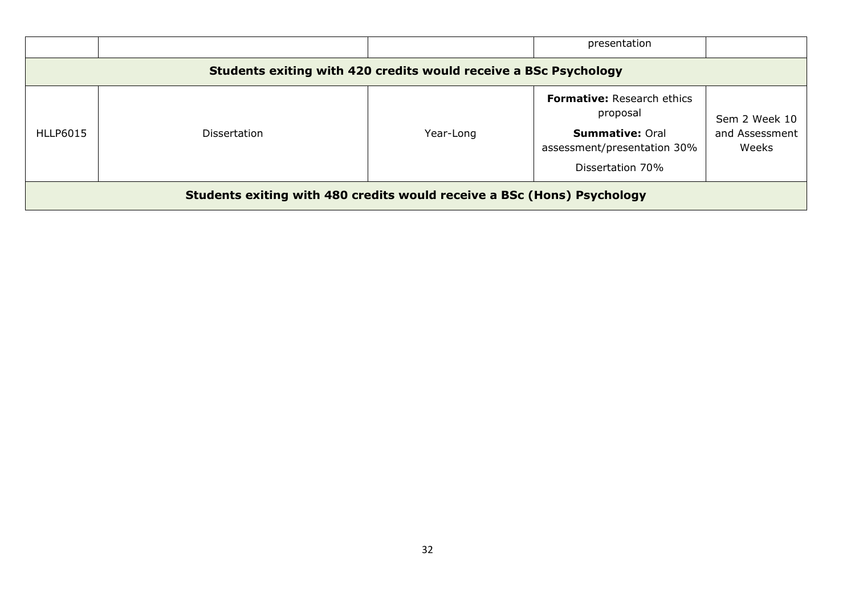|                                                                         |                     |           | presentation                                                                                                        |                                          |
|-------------------------------------------------------------------------|---------------------|-----------|---------------------------------------------------------------------------------------------------------------------|------------------------------------------|
| Students exiting with 420 credits would receive a BSc Psychology        |                     |           |                                                                                                                     |                                          |
| HLLP6015                                                                | <b>Dissertation</b> | Year-Long | Formative: Research ethics<br>proposal<br><b>Summative: Oral</b><br>assessment/presentation 30%<br>Dissertation 70% | Sem 2 Week 10<br>and Assessment<br>Weeks |
| Students exiting with 480 credits would receive a BSc (Hons) Psychology |                     |           |                                                                                                                     |                                          |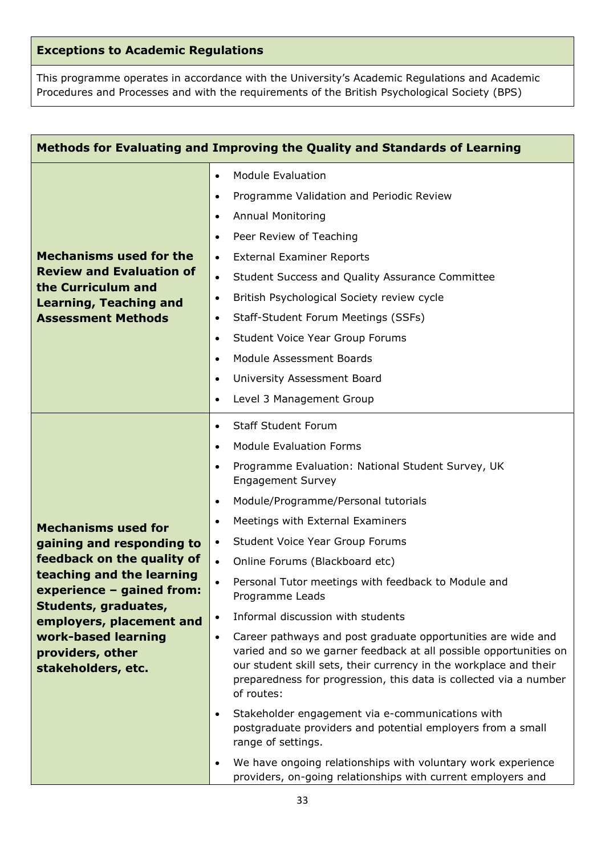# **Exceptions to Academic Regulations**

This programme operates in accordance with the University's Academic Regulations and Academic Procedures and Processes and with the requirements of the British Psychological Society (BPS)

| Methods for Evaluating and Improving the Quality and Standards of Learning                                                                                                                                                                                           |                                                                                                                                                                                                                                                                                                                                                                                                                                                                                                                                                                                                                                                                                                                                                                                                                                                                                                                                                                                                                                                                                                                                                |  |  |
|----------------------------------------------------------------------------------------------------------------------------------------------------------------------------------------------------------------------------------------------------------------------|------------------------------------------------------------------------------------------------------------------------------------------------------------------------------------------------------------------------------------------------------------------------------------------------------------------------------------------------------------------------------------------------------------------------------------------------------------------------------------------------------------------------------------------------------------------------------------------------------------------------------------------------------------------------------------------------------------------------------------------------------------------------------------------------------------------------------------------------------------------------------------------------------------------------------------------------------------------------------------------------------------------------------------------------------------------------------------------------------------------------------------------------|--|--|
| <b>Mechanisms used for the</b><br><b>Review and Evaluation of</b><br>the Curriculum and<br><b>Learning, Teaching and</b><br><b>Assessment Methods</b>                                                                                                                | <b>Module Evaluation</b><br>$\bullet$<br>Programme Validation and Periodic Review<br>$\bullet$<br><b>Annual Monitoring</b><br>$\bullet$<br>Peer Review of Teaching<br>$\bullet$<br><b>External Examiner Reports</b><br>$\bullet$<br>Student Success and Quality Assurance Committee<br>$\bullet$<br>British Psychological Society review cycle<br>$\bullet$<br>Staff-Student Forum Meetings (SSFs)<br>$\bullet$<br>Student Voice Year Group Forums<br>$\bullet$<br>Module Assessment Boards<br>$\bullet$<br>University Assessment Board<br>$\bullet$<br>Level 3 Management Group<br>$\bullet$                                                                                                                                                                                                                                                                                                                                                                                                                                                                                                                                                  |  |  |
| <b>Mechanisms used for</b><br>gaining and responding to<br>feedback on the quality of<br>teaching and the learning<br>experience – gained from:<br>Students, graduates,<br>employers, placement and<br>work-based learning<br>providers, other<br>stakeholders, etc. | <b>Staff Student Forum</b><br>$\bullet$<br><b>Module Evaluation Forms</b><br>$\bullet$<br>Programme Evaluation: National Student Survey, UK<br>$\bullet$<br><b>Engagement Survey</b><br>Module/Programme/Personal tutorials<br>$\bullet$<br>Meetings with External Examiners<br>$\bullet$<br>Student Voice Year Group Forums<br>$\bullet$<br>Online Forums (Blackboard etc)<br>$\bullet$<br>Personal Tutor meetings with feedback to Module and<br>$\bullet$<br>Programme Leads<br>Informal discussion with students<br>$\bullet$<br>Career pathways and post graduate opportunities are wide and<br>$\bullet$<br>varied and so we garner feedback at all possible opportunities on<br>our student skill sets, their currency in the workplace and their<br>preparedness for progression, this data is collected via a number<br>of routes:<br>Stakeholder engagement via e-communications with<br>$\bullet$<br>postgraduate providers and potential employers from a small<br>range of settings.<br>We have ongoing relationships with voluntary work experience<br>$\bullet$<br>providers, on-going relationships with current employers and |  |  |